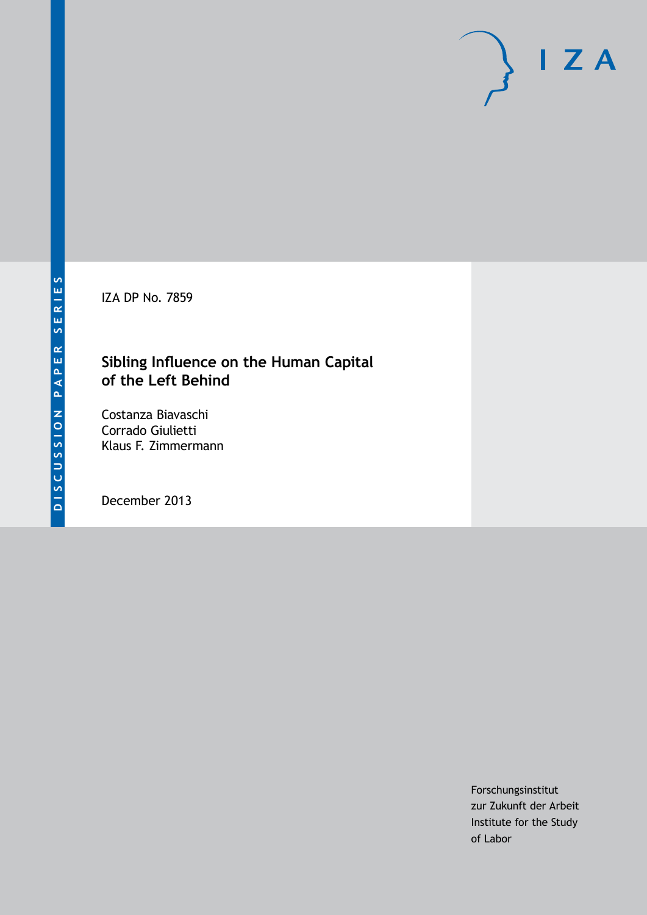IZA DP No. 7859

#### **Sibling Influence on the Human Capital of the Left Behind**

Costanza Biavaschi Corrado Giulietti Klaus F. Zimmermann

December 2013

Forschungsinstitut zur Zukunft der Arbeit Institute for the Study of Labor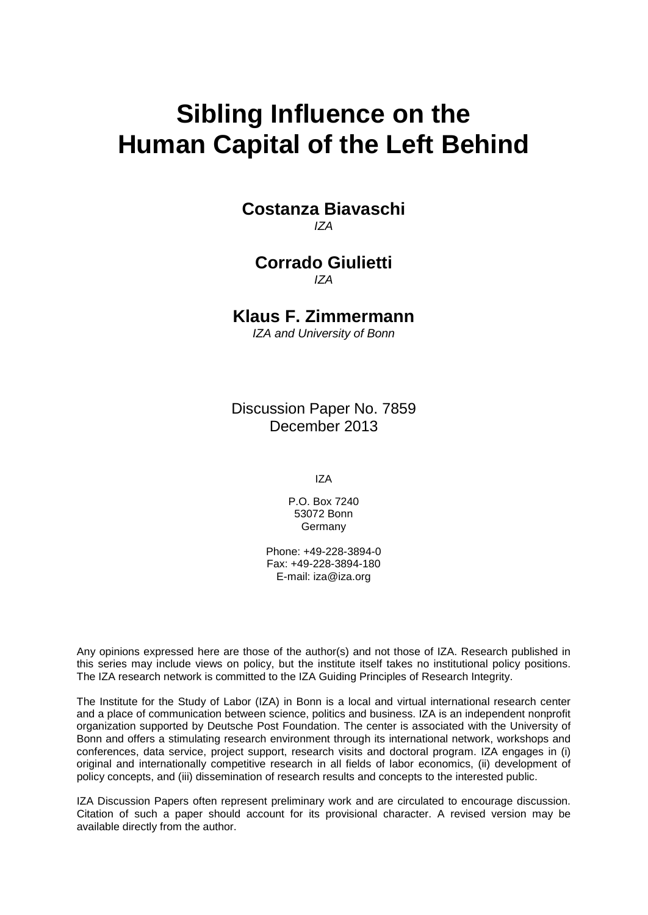# **Sibling Influence on the Human Capital of the Left Behind**

**Costanza Biavaschi** *IZA*

**Corrado Giulietti** *IZA*

**Klaus F. Zimmermann**

*IZA and University of Bonn*

Discussion Paper No. 7859 December 2013

IZA

P.O. Box 7240 53072 Bonn Germany

Phone: +49-228-3894-0 Fax: +49-228-3894-180 E-mail: [iza@iza.org](mailto:iza@iza.org)

Any opinions expressed here are those of the author(s) and not those of IZA. Research published in this series may include views on policy, but the institute itself takes no institutional policy positions. The IZA research network is committed to the IZA Guiding Principles of Research Integrity.

<span id="page-1-0"></span>The Institute for the Study of Labor (IZA) in Bonn is a local and virtual international research center and a place of communication between science, politics and business. IZA is an independent nonprofit organization supported by Deutsche Post Foundation. The center is associated with the University of Bonn and offers a stimulating research environment through its international network, workshops and conferences, data service, project support, research visits and doctoral program. IZA engages in (i) original and internationally competitive research in all fields of labor economics, (ii) development of policy concepts, and (iii) dissemination of research results and concepts to the interested public.

IZA Discussion Papers often represent preliminary work and are circulated to encourage discussion. Citation of such a paper should account for its provisional character. A revised version may be available directly from the author.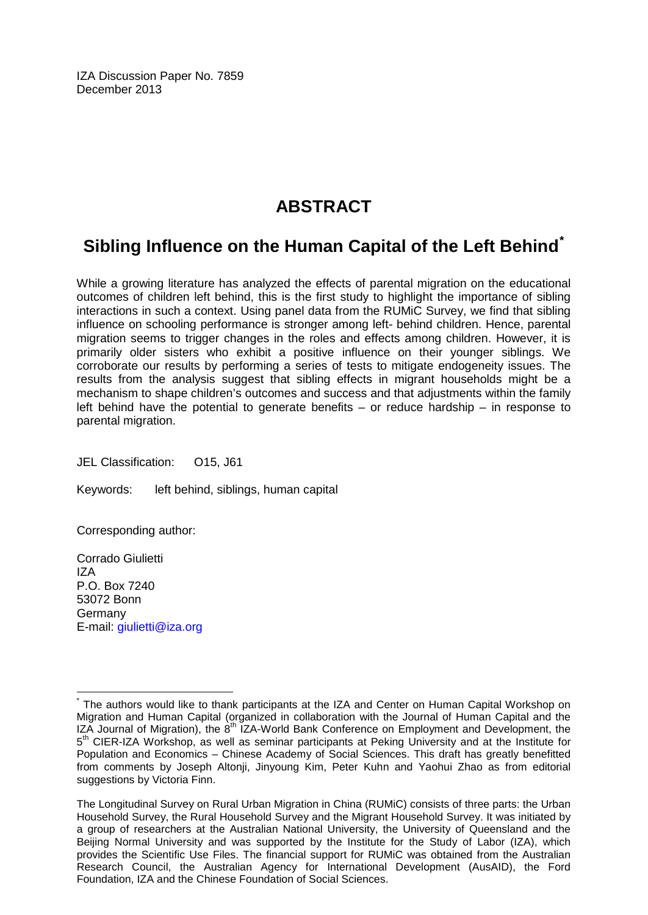IZA Discussion Paper No. 7859 December 2013

# **ABSTRACT**

## **Sibling Influence on the Human Capital of the Left Behind[\\*](#page-1-0)**

While a growing literature has analyzed the effects of parental migration on the educational outcomes of children left behind, this is the first study to highlight the importance of sibling interactions in such a context. Using panel data from the RUMiC Survey, we find that sibling influence on schooling performance is stronger among left- behind children. Hence, parental migration seems to trigger changes in the roles and effects among children. However, it is primarily older sisters who exhibit a positive influence on their younger siblings. We corroborate our results by performing a series of tests to mitigate endogeneity issues. The results from the analysis suggest that sibling effects in migrant households might be a mechanism to shape children's outcomes and success and that adjustments within the family left behind have the potential to generate benefits  $-$  or reduce hardship  $-$  in response to parental migration.

JEL Classification: O15, J61

Keywords: left behind, siblings, human capital

Corresponding author:

Corrado Giulietti IZA P.O. Box 7240 53072 Bonn Germany E-mail: [giulietti@iza.org](mailto:giulietti@iza.org)

\* The authors would like to thank participants at the IZA and Center on Human Capital Workshop on Migration and Human Capital (organized in collaboration with the Journal of Human Capital and the IZA Journal of Migration), the  $8<sup>th</sup>$  IZA-World Bank Conference on Employment and Development, the  $5<sup>th</sup>$  CIER-IZA Workshop, as well as seminar participants at Peking University and at the Institute for Population and Economics – Chinese Academy of Social Sciences. This draft has greatly benefitted from comments by Joseph Altonji, Jinyoung Kim, Peter Kuhn and Yaohui Zhao as from editorial suggestions by Victoria Finn.

The Longitudinal Survey on Rural Urban Migration in China (RUMiC) consists of three parts: the Urban Household Survey, the Rural Household Survey and the Migrant Household Survey. It was initiated by a group of researchers at the Australian National University, the University of Queensland and the Beijing Normal University and was supported by the Institute for the Study of Labor (IZA), which provides the Scientific Use Files. The financial support for RUMiC was obtained from the Australian Research Council, the Australian Agency for International Development (AusAID), the Ford Foundation, IZA and the Chinese Foundation of Social Sciences.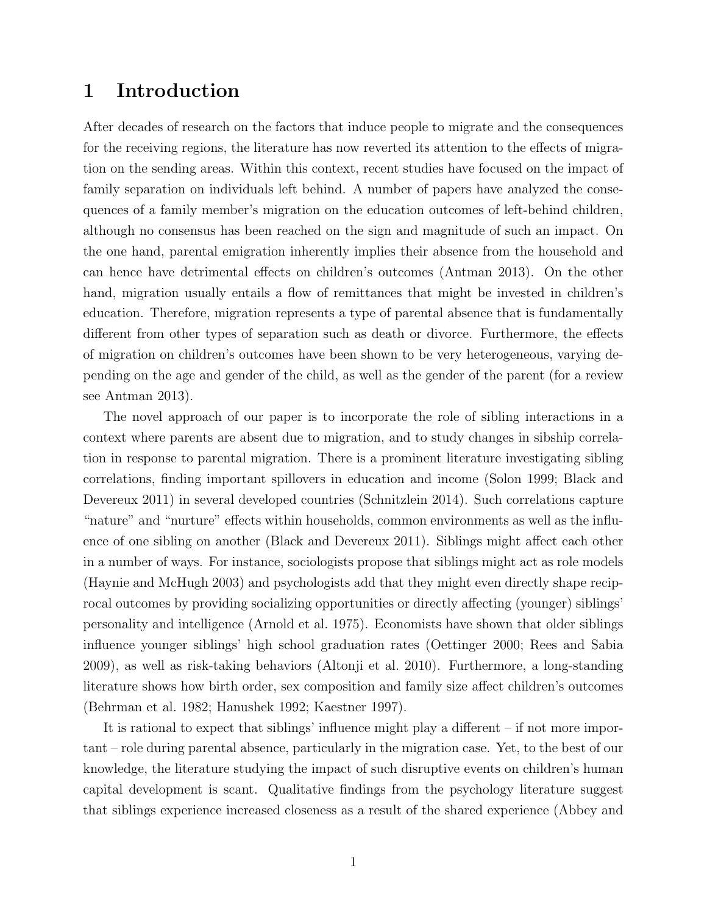#### 1 Introduction

After decades of research on the factors that induce people to migrate and the consequences for the receiving regions, the literature has now reverted its attention to the effects of migration on the sending areas. Within this context, recent studies have focused on the impact of family separation on individuals left behind. A number of papers have analyzed the consequences of a family member's migration on the education outcomes of left-behind children, although no consensus has been reached on the sign and magnitude of such an impact. On the one hand, parental emigration inherently implies their absence from the household and can hence have detrimental effects on children's outcomes [\(Antman](#page-22-0) [2013\)](#page-22-0). On the other hand, migration usually entails a flow of remittances that might be invested in children's education. Therefore, migration represents a type of parental absence that is fundamentally different from other types of separation such as death or divorce. Furthermore, the effects of migration on children's outcomes have been shown to be very heterogeneous, varying depending on the age and gender of the child, as well as the gender of the parent (for a review see [Antman](#page-22-0) [2013\)](#page-22-0).

The novel approach of our paper is to incorporate the role of sibling interactions in a context where parents are absent due to migration, and to study changes in sibship correlation in response to parental migration. There is a prominent literature investigating sibling correlations, finding important spillovers in education and income [\(Solon](#page-23-0) [1999;](#page-23-0) [Black and](#page-22-1) [Devereux](#page-22-1) [2011\)](#page-22-1) in several developed countries [\(Schnitzlein](#page-23-1) [2014\)](#page-23-1). Such correlations capture "nature" and "nurture" effects within households, common environments as well as the influence of one sibling on another [\(Black and Devereux](#page-22-1) [2011\)](#page-22-1). Siblings might affect each other in a number of ways. For instance, sociologists propose that siblings might act as role models [\(Haynie and McHugh](#page-23-2) [2003\)](#page-23-2) and psychologists add that they might even directly shape reciprocal outcomes by providing socializing opportunities or directly affecting (younger) siblings' personality and intelligence [\(Arnold et al.](#page-22-2) [1975\)](#page-22-2). Economists have shown that older siblings influence younger siblings' high school graduation rates [\(Oettinger](#page-23-3) [2000;](#page-23-3) [Rees and Sabia](#page-23-4) [2009\)](#page-23-4), as well as risk-taking behaviors [\(Altonji et al.](#page-22-3) [2010\)](#page-22-3). Furthermore, a long-standing literature shows how birth order, sex composition and family size affect children's outcomes [\(Behrman et al.](#page-22-4) [1982;](#page-22-4) [Hanushek](#page-22-5) [1992;](#page-22-5) [Kaestner](#page-23-5) [1997\)](#page-23-5).

It is rational to expect that siblings' influence might play a different – if not more important – role during parental absence, particularly in the migration case. Yet, to the best of our knowledge, the literature studying the impact of such disruptive events on children's human capital development is scant. Qualitative findings from the psychology literature suggest that siblings experience increased closeness as a result of the shared experience [\(Abbey and](#page-22-6)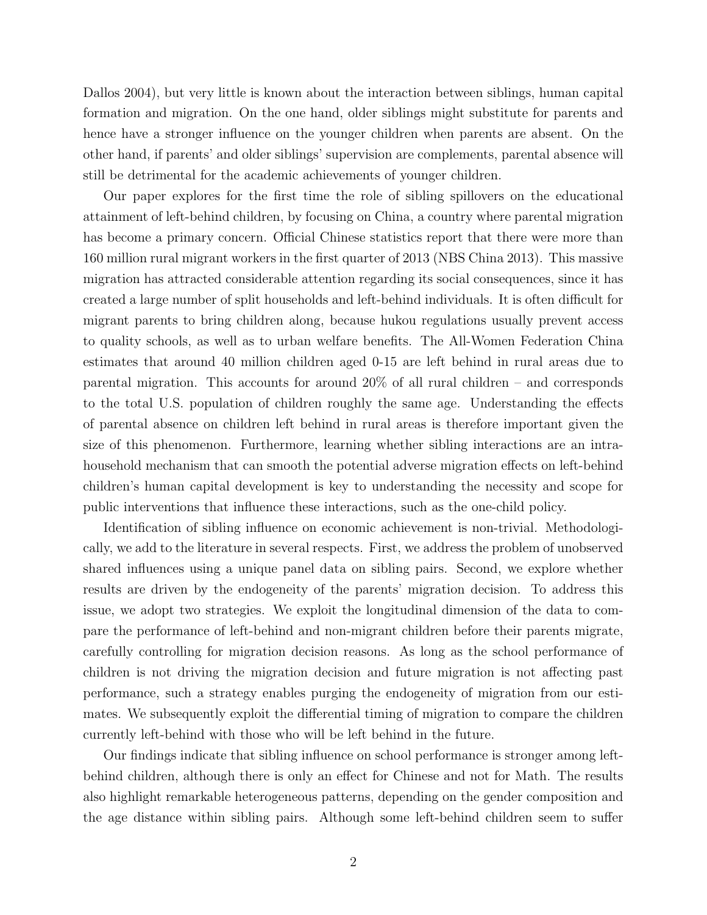[Dallos](#page-22-6) [2004\)](#page-22-6), but very little is known about the interaction between siblings, human capital formation and migration. On the one hand, older siblings might substitute for parents and hence have a stronger influence on the younger children when parents are absent. On the other hand, if parents' and older siblings' supervision are complements, parental absence will still be detrimental for the academic achievements of younger children.

Our paper explores for the first time the role of sibling spillovers on the educational attainment of left-behind children, by focusing on China, a country where parental migration has become a primary concern. Official Chinese statistics report that there were more than 160 million rural migrant workers in the first quarter of 2013 [\(NBS China](#page-23-6) [2013\)](#page-23-6). This massive migration has attracted considerable attention regarding its social consequences, since it has created a large number of split households and left-behind individuals. It is often difficult for migrant parents to bring children along, because hukou regulations usually prevent access to quality schools, as well as to urban welfare benefits. The All-Women Federation China estimates that around 40 million children aged 0-15 are left behind in rural areas due to parental migration. This accounts for around 20% of all rural children – and corresponds to the total U.S. population of children roughly the same age. Understanding the effects of parental absence on children left behind in rural areas is therefore important given the size of this phenomenon. Furthermore, learning whether sibling interactions are an intrahousehold mechanism that can smooth the potential adverse migration effects on left-behind children's human capital development is key to understanding the necessity and scope for public interventions that influence these interactions, such as the one-child policy.

Identification of sibling influence on economic achievement is non-trivial. Methodologically, we add to the literature in several respects. First, we address the problem of unobserved shared influences using a unique panel data on sibling pairs. Second, we explore whether results are driven by the endogeneity of the parents' migration decision. To address this issue, we adopt two strategies. We exploit the longitudinal dimension of the data to compare the performance of left-behind and non-migrant children before their parents migrate, carefully controlling for migration decision reasons. As long as the school performance of children is not driving the migration decision and future migration is not affecting past performance, such a strategy enables purging the endogeneity of migration from our estimates. We subsequently exploit the differential timing of migration to compare the children currently left-behind with those who will be left behind in the future.

Our findings indicate that sibling influence on school performance is stronger among leftbehind children, although there is only an effect for Chinese and not for Math. The results also highlight remarkable heterogeneous patterns, depending on the gender composition and the age distance within sibling pairs. Although some left-behind children seem to suffer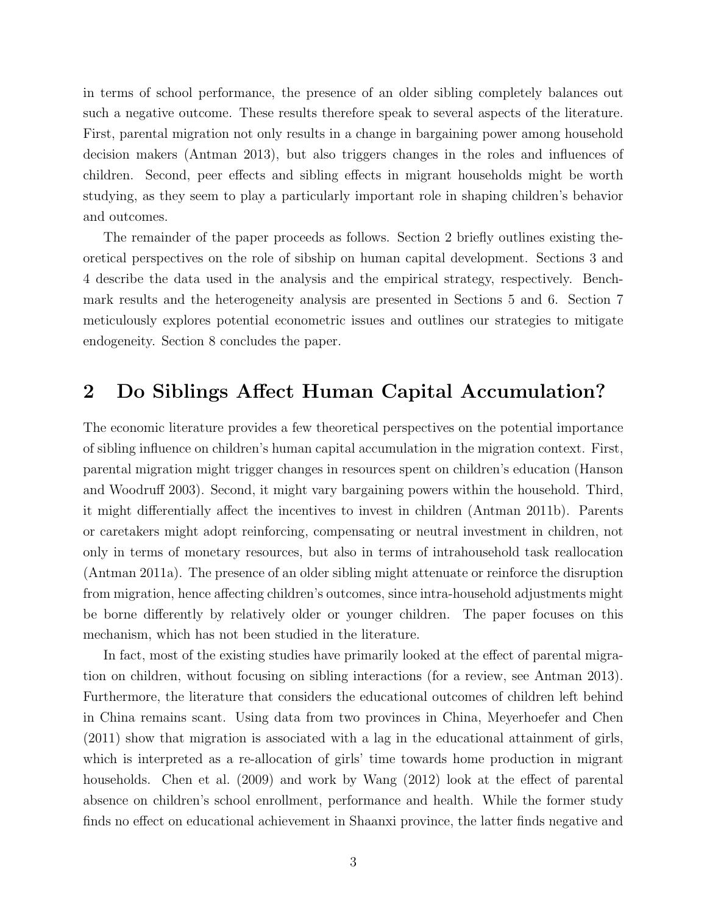in terms of school performance, the presence of an older sibling completely balances out such a negative outcome. These results therefore speak to several aspects of the literature. First, parental migration not only results in a change in bargaining power among household decision makers [\(Antman](#page-22-0) [2013\)](#page-22-0), but also triggers changes in the roles and influences of children. Second, peer effects and sibling effects in migrant households might be worth studying, as they seem to play a particularly important role in shaping children's behavior and outcomes.

The remainder of the paper proceeds as follows. Section 2 briefly outlines existing theoretical perspectives on the role of sibship on human capital development. Sections 3 and 4 describe the data used in the analysis and the empirical strategy, respectively. Benchmark results and the heterogeneity analysis are presented in Sections 5 and 6. Section 7 meticulously explores potential econometric issues and outlines our strategies to mitigate endogeneity. Section 8 concludes the paper.

#### 2 Do Siblings Affect Human Capital Accumulation?

The economic literature provides a few theoretical perspectives on the potential importance of sibling influence on children's human capital accumulation in the migration context. First, parental migration might trigger changes in resources spent on children's education [\(Hanson](#page-22-7) [and Woodruff](#page-22-7) [2003\)](#page-22-7). Second, it might vary bargaining powers within the household. Third, it might differentially affect the incentives to invest in children [\(Antman](#page-22-8) [2011b\)](#page-22-8). Parents or caretakers might adopt reinforcing, compensating or neutral investment in children, not only in terms of monetary resources, but also in terms of intrahousehold task reallocation [\(Antman](#page-22-9) [2011a\)](#page-22-9). The presence of an older sibling might attenuate or reinforce the disruption from migration, hence affecting children's outcomes, since intra-household adjustments might be borne differently by relatively older or younger children. The paper focuses on this mechanism, which has not been studied in the literature.

In fact, most of the existing studies have primarily looked at the effect of parental migration on children, without focusing on sibling interactions (for a review, see [Antman](#page-22-0) [2013\)](#page-22-0). Furthermore, the literature that considers the educational outcomes of children left behind in China remains scant. Using data from two provinces in China, [Meyerhoefer and Chen](#page-23-7) [\(2011\)](#page-23-7) show that migration is associated with a lag in the educational attainment of girls, which is interpreted as a re-allocation of girls' time towards home production in migrant households. [Chen et al.](#page-22-10) [\(2009\)](#page-22-10) and work by [Wang](#page-23-8) [\(2012\)](#page-23-8) look at the effect of parental absence on children's school enrollment, performance and health. While the former study finds no effect on educational achievement in Shaanxi province, the latter finds negative and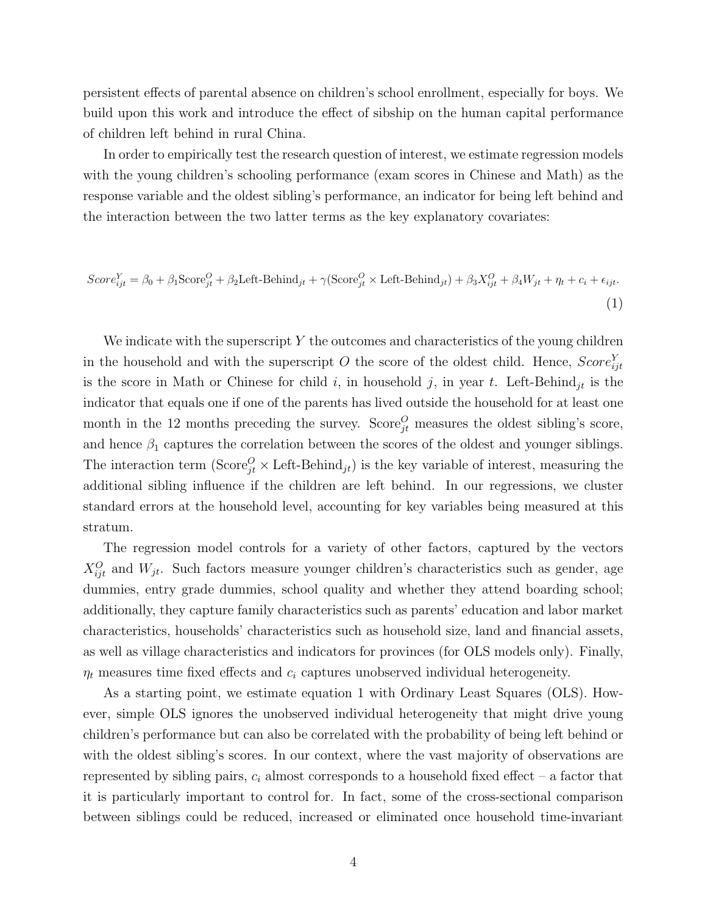persistent effects of parental absence on children's school enrollment, especially for boys. We build upon this work and introduce the effect of sibship on the human capital performance of children left behind in rural China.

In order to empirically test the research question of interest, we estimate regression models with the young children's schooling performance (exam scores in Chinese and Math) as the response variable and the oldest sibling's performance, an indicator for being left behind and the interaction between the two latter terms as the key explanatory covariates:

<span id="page-6-0"></span>
$$
Score_{ijt}^{Y} = \beta_0 + \beta_1 \text{Score}_{jt}^{O} + \beta_2 \text{Left-Behind}_{jt} + \gamma (\text{Score}_{jt}^{O} \times \text{Left-Behind}_{jt}) + \beta_3 X_{ijt}^{O} + \beta_4 W_{jt} + \eta_t + c_i + \epsilon_{ijt}.
$$
\n(1)

We indicate with the superscript Y the outcomes and characteristics of the young children in the household and with the superscript O the score of the oldest child. Hence,  $Score_{ijt}^Y$ is the score in Math or Chinese for child i, in household j, in year t. Left-Behind<sub>it</sub> is the indicator that equals one if one of the parents has lived outside the household for at least one month in the 12 months preceding the survey. Score<sup> $O$ </sup> measures the oldest sibling's score, and hence  $\beta_1$  captures the correlation between the scores of the oldest and younger siblings. The interaction term  $(\text{Score}_{jt}^O \times \text{Left-Behind}_{jt})$  is the key variable of interest, measuring the additional sibling influence if the children are left behind. In our regressions, we cluster standard errors at the household level, accounting for key variables being measured at this stratum.

The regression model controls for a variety of other factors, captured by the vectors  $X_{ijt}^O$  and  $W_{jt}$ . Such factors measure younger children's characteristics such as gender, age dummies, entry grade dummies, school quality and whether they attend boarding school; additionally, they capture family characteristics such as parents' education and labor market characteristics, households' characteristics such as household size, land and financial assets, as well as village characteristics and indicators for provinces (for OLS models only). Finally,  $\eta_t$  measures time fixed effects and  $c_i$  captures unobserved individual heterogeneity.

As a starting point, we estimate equation [1](#page-6-0) with Ordinary Least Squares (OLS). However, simple OLS ignores the unobserved individual heterogeneity that might drive young children's performance but can also be correlated with the probability of being left behind or with the oldest sibling's scores. In our context, where the vast majority of observations are represented by sibling pairs,  $c_i$  almost corresponds to a household fixed effect – a factor that it is particularly important to control for. In fact, some of the cross-sectional comparison between siblings could be reduced, increased or eliminated once household time-invariant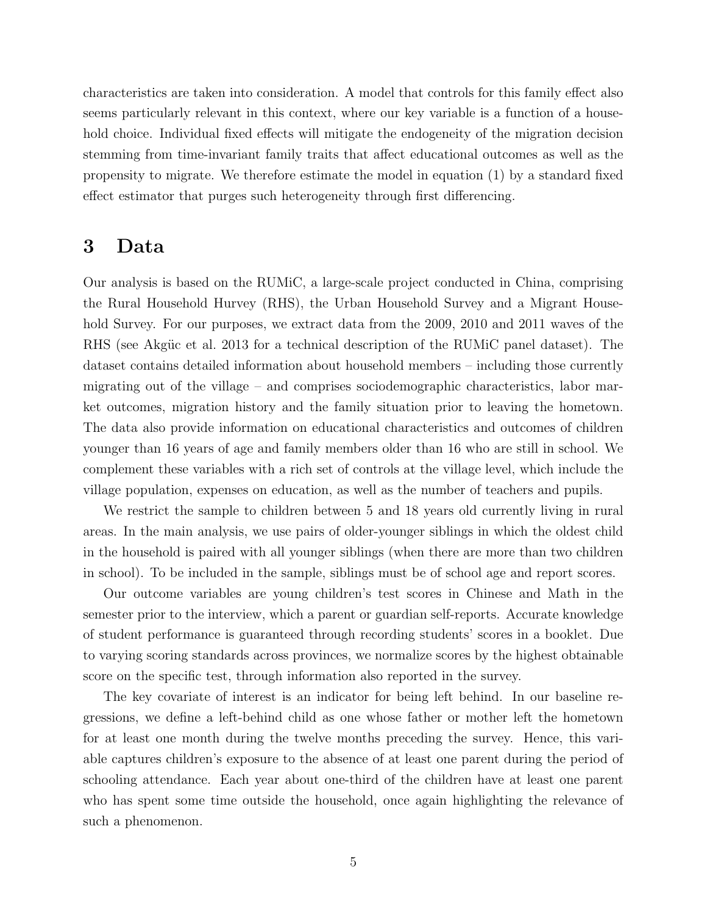characteristics are taken into consideration. A model that controls for this family effect also seems particularly relevant in this context, where our key variable is a function of a household choice. Individual fixed effects will mitigate the endogeneity of the migration decision stemming from time-invariant family traits that affect educational outcomes as well as the propensity to migrate. We therefore estimate the model in equation [\(1\)](#page-6-0) by a standard fixed effect estimator that purges such heterogeneity through first differencing.

#### 3 Data

Our analysis is based on the RUMiC, a large-scale project conducted in China, comprising the Rural Household Hurvey (RHS), the Urban Household Survey and a Migrant Household Survey. For our purposes, we extract data from the 2009, 2010 and 2011 waves of the RHS (see Akgüc et al. [2013](#page-22-11) for a technical description of the RUMiC panel dataset). The dataset contains detailed information about household members – including those currently migrating out of the village – and comprises sociodemographic characteristics, labor market outcomes, migration history and the family situation prior to leaving the hometown. The data also provide information on educational characteristics and outcomes of children younger than 16 years of age and family members older than 16 who are still in school. We complement these variables with a rich set of controls at the village level, which include the village population, expenses on education, as well as the number of teachers and pupils.

We restrict the sample to children between 5 and 18 years old currently living in rural areas. In the main analysis, we use pairs of older-younger siblings in which the oldest child in the household is paired with all younger siblings (when there are more than two children in school). To be included in the sample, siblings must be of school age and report scores.

Our outcome variables are young children's test scores in Chinese and Math in the semester prior to the interview, which a parent or guardian self-reports. Accurate knowledge of student performance is guaranteed through recording students' scores in a booklet. Due to varying scoring standards across provinces, we normalize scores by the highest obtainable score on the specific test, through information also reported in the survey.

The key covariate of interest is an indicator for being left behind. In our baseline regressions, we define a left-behind child as one whose father or mother left the hometown for at least one month during the twelve months preceding the survey. Hence, this variable captures children's exposure to the absence of at least one parent during the period of schooling attendance. Each year about one-third of the children have at least one parent who has spent some time outside the household, once again highlighting the relevance of such a phenomenon.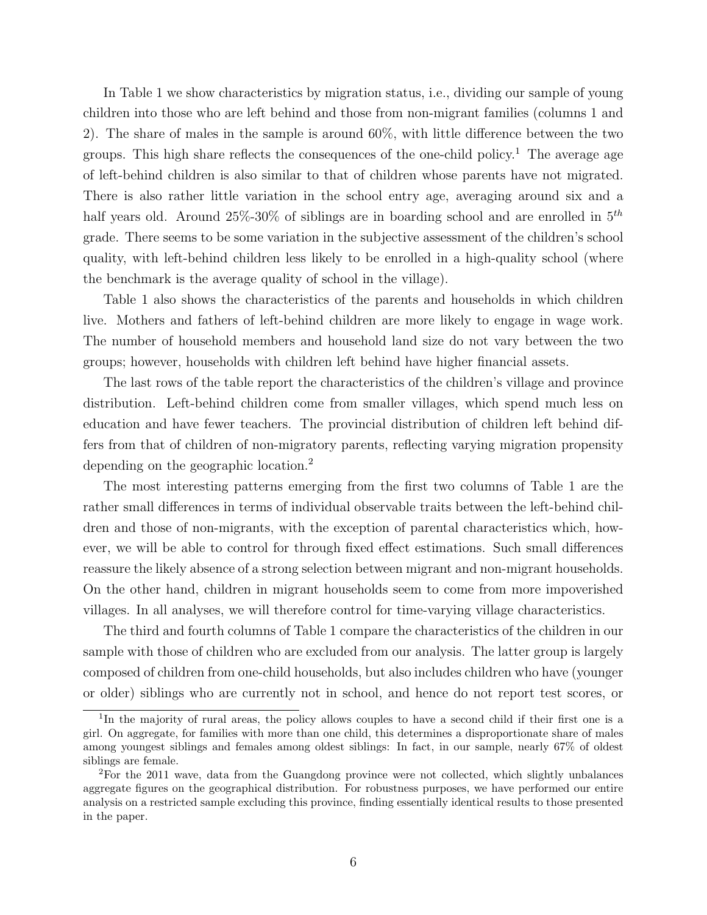In Table [1](#page-16-0) we show characteristics by migration status, i.e., dividing our sample of young children into those who are left behind and those from non-migrant families (columns 1 and 2). The share of males in the sample is around 60%, with little difference between the two groups. This high share reflects the consequences of the one-child policy.<sup>[1](#page-8-0)</sup> The average age of left-behind children is also similar to that of children whose parents have not migrated. There is also rather little variation in the school entry age, averaging around six and a half years old. Around  $25\%$ -30% of siblings are in boarding school and are enrolled in  $5<sup>th</sup>$ grade. There seems to be some variation in the subjective assessment of the children's school quality, with left-behind children less likely to be enrolled in a high-quality school (where the benchmark is the average quality of school in the village).

Table [1](#page-16-0) also shows the characteristics of the parents and households in which children live. Mothers and fathers of left-behind children are more likely to engage in wage work. The number of household members and household land size do not vary between the two groups; however, households with children left behind have higher financial assets.

The last rows of the table report the characteristics of the children's village and province distribution. Left-behind children come from smaller villages, which spend much less on education and have fewer teachers. The provincial distribution of children left behind differs from that of children of non-migratory parents, reflecting varying migration propensity depending on the geographic location.<sup>[2](#page-8-1)</sup>

The most interesting patterns emerging from the first two columns of Table [1](#page-16-0) are the rather small differences in terms of individual observable traits between the left-behind children and those of non-migrants, with the exception of parental characteristics which, however, we will be able to control for through fixed effect estimations. Such small differences reassure the likely absence of a strong selection between migrant and non-migrant households. On the other hand, children in migrant households seem to come from more impoverished villages. In all analyses, we will therefore control for time-varying village characteristics.

The third and fourth columns of Table [1](#page-16-0) compare the characteristics of the children in our sample with those of children who are excluded from our analysis. The latter group is largely composed of children from one-child households, but also includes children who have (younger or older) siblings who are currently not in school, and hence do not report test scores, or

<span id="page-8-0"></span><sup>&</sup>lt;sup>1</sup>In the majority of rural areas, the policy allows couples to have a second child if their first one is a girl. On aggregate, for families with more than one child, this determines a disproportionate share of males among youngest siblings and females among oldest siblings: In fact, in our sample, nearly 67% of oldest siblings are female.

<span id="page-8-1"></span><sup>&</sup>lt;sup>2</sup>For the 2011 wave, data from the Guangdong province were not collected, which slightly unbalances aggregate figures on the geographical distribution. For robustness purposes, we have performed our entire analysis on a restricted sample excluding this province, finding essentially identical results to those presented in the paper.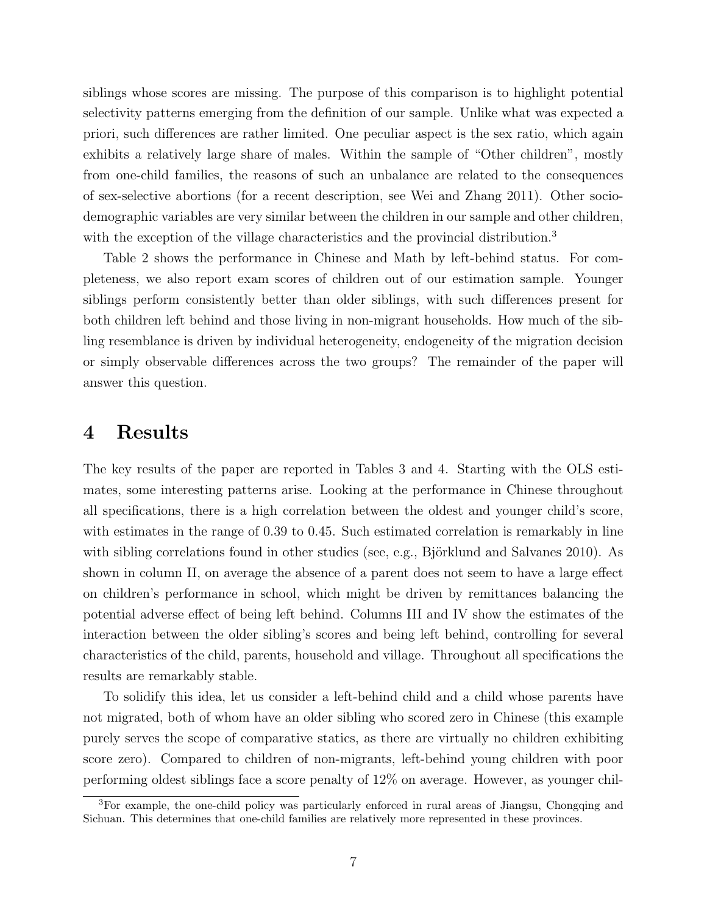siblings whose scores are missing. The purpose of this comparison is to highlight potential selectivity patterns emerging from the definition of our sample. Unlike what was expected a priori, such differences are rather limited. One peculiar aspect is the sex ratio, which again exhibits a relatively large share of males. Within the sample of "Other children", mostly from one-child families, the reasons of such an unbalance are related to the consequences of sex-selective abortions (for a recent description, see [Wei and Zhang](#page-23-9) [2011\)](#page-23-9). Other sociodemographic variables are very similar between the children in our sample and other children, with the exception of the village characteristics and the provincial distribution.<sup>[3](#page-9-0)</sup>

Table [2](#page-17-0) shows the performance in Chinese and Math by left-behind status. For completeness, we also report exam scores of children out of our estimation sample. Younger siblings perform consistently better than older siblings, with such differences present for both children left behind and those living in non-migrant households. How much of the sibling resemblance is driven by individual heterogeneity, endogeneity of the migration decision or simply observable differences across the two groups? The remainder of the paper will answer this question.

#### 4 Results

The key results of the paper are reported in Tables [3](#page-18-0) and [4.](#page-19-0) Starting with the OLS estimates, some interesting patterns arise. Looking at the performance in Chinese throughout all specifications, there is a high correlation between the oldest and younger child's score, with estimates in the range of 0.39 to 0.45. Such estimated correlation is remarkably in line with sibling correlations found in other studies (see, e.g., Björklund and Salvanes [2010\)](#page-22-12). As shown in column II, on average the absence of a parent does not seem to have a large effect on children's performance in school, which might be driven by remittances balancing the potential adverse effect of being left behind. Columns III and IV show the estimates of the interaction between the older sibling's scores and being left behind, controlling for several characteristics of the child, parents, household and village. Throughout all specifications the results are remarkably stable.

To solidify this idea, let us consider a left-behind child and a child whose parents have not migrated, both of whom have an older sibling who scored zero in Chinese (this example purely serves the scope of comparative statics, as there are virtually no children exhibiting score zero). Compared to children of non-migrants, left-behind young children with poor performing oldest siblings face a score penalty of 12% on average. However, as younger chil-

<span id="page-9-0"></span><sup>3</sup>For example, the one-child policy was particularly enforced in rural areas of Jiangsu, Chongqing and Sichuan. This determines that one-child families are relatively more represented in these provinces.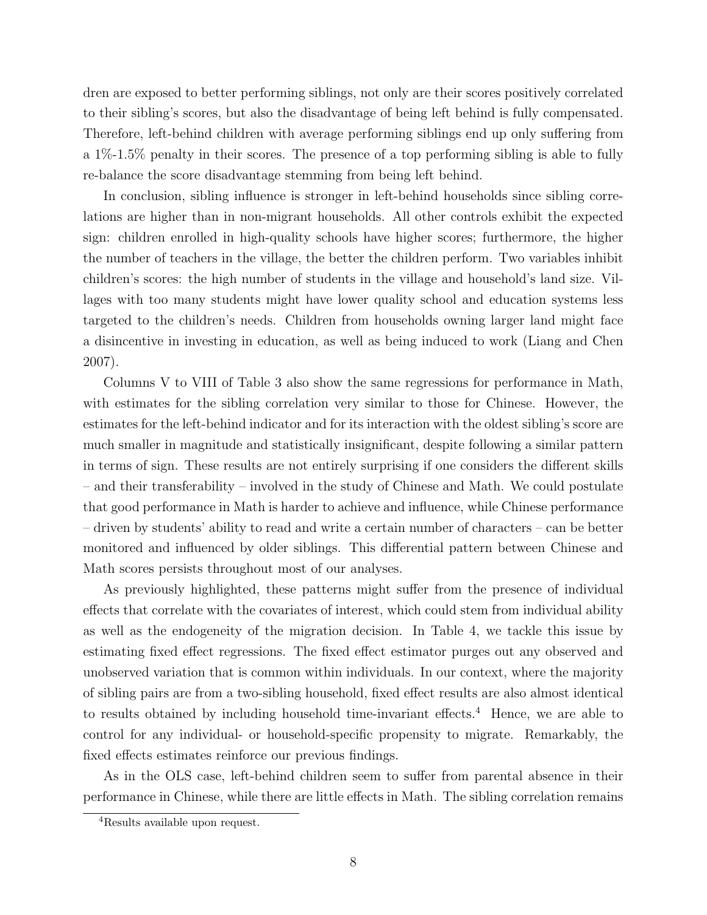dren are exposed to better performing siblings, not only are their scores positively correlated to their sibling's scores, but also the disadvantage of being left behind is fully compensated. Therefore, left-behind children with average performing siblings end up only suffering from a 1%-1.5% penalty in their scores. The presence of a top performing sibling is able to fully re-balance the score disadvantage stemming from being left behind.

In conclusion, sibling influence is stronger in left-behind households since sibling correlations are higher than in non-migrant households. All other controls exhibit the expected sign: children enrolled in high-quality schools have higher scores; furthermore, the higher the number of teachers in the village, the better the children perform. Two variables inhibit children's scores: the high number of students in the village and household's land size. Villages with too many students might have lower quality school and education systems less targeted to the children's needs. Children from households owning larger land might face a disincentive in investing in education, as well as being induced to work [\(Liang and Chen](#page-23-10) [2007\)](#page-23-10).

Columns V to VIII of Table [3](#page-18-0) also show the same regressions for performance in Math, with estimates for the sibling correlation very similar to those for Chinese. However, the estimates for the left-behind indicator and for its interaction with the oldest sibling's score are much smaller in magnitude and statistically insignificant, despite following a similar pattern in terms of sign. These results are not entirely surprising if one considers the different skills – and their transferability – involved in the study of Chinese and Math. We could postulate that good performance in Math is harder to achieve and influence, while Chinese performance – driven by students' ability to read and write a certain number of characters – can be better monitored and influenced by older siblings. This differential pattern between Chinese and Math scores persists throughout most of our analyses.

As previously highlighted, these patterns might suffer from the presence of individual effects that correlate with the covariates of interest, which could stem from individual ability as well as the endogeneity of the migration decision. In Table [4,](#page-19-0) we tackle this issue by estimating fixed effect regressions. The fixed effect estimator purges out any observed and unobserved variation that is common within individuals. In our context, where the majority of sibling pairs are from a two-sibling household, fixed effect results are also almost identical to results obtained by including household time-invariant effects.<sup>[4](#page-10-0)</sup> Hence, we are able to control for any individual- or household-specific propensity to migrate. Remarkably, the fixed effects estimates reinforce our previous findings.

As in the OLS case, left-behind children seem to suffer from parental absence in their performance in Chinese, while there are little effects in Math. The sibling correlation remains

<span id="page-10-0"></span><sup>4</sup>Results available upon request.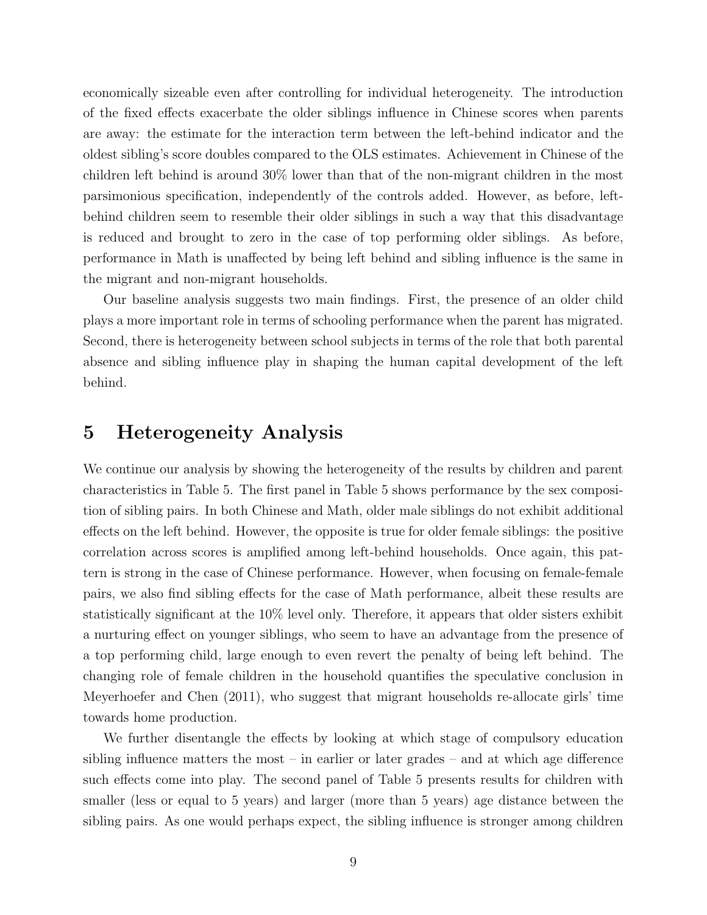economically sizeable even after controlling for individual heterogeneity. The introduction of the fixed effects exacerbate the older siblings influence in Chinese scores when parents are away: the estimate for the interaction term between the left-behind indicator and the oldest sibling's score doubles compared to the OLS estimates. Achievement in Chinese of the children left behind is around 30% lower than that of the non-migrant children in the most parsimonious specification, independently of the controls added. However, as before, leftbehind children seem to resemble their older siblings in such a way that this disadvantage is reduced and brought to zero in the case of top performing older siblings. As before, performance in Math is unaffected by being left behind and sibling influence is the same in the migrant and non-migrant households.

Our baseline analysis suggests two main findings. First, the presence of an older child plays a more important role in terms of schooling performance when the parent has migrated. Second, there is heterogeneity between school subjects in terms of the role that both parental absence and sibling influence play in shaping the human capital development of the left behind.

#### 5 Heterogeneity Analysis

We continue our analysis by showing the heterogeneity of the results by children and parent characteristics in Table [5.](#page-20-0) The first panel in Table [5](#page-20-0) shows performance by the sex composition of sibling pairs. In both Chinese and Math, older male siblings do not exhibit additional effects on the left behind. However, the opposite is true for older female siblings: the positive correlation across scores is amplified among left-behind households. Once again, this pattern is strong in the case of Chinese performance. However, when focusing on female-female pairs, we also find sibling effects for the case of Math performance, albeit these results are statistically significant at the 10% level only. Therefore, it appears that older sisters exhibit a nurturing effect on younger siblings, who seem to have an advantage from the presence of a top performing child, large enough to even revert the penalty of being left behind. The changing role of female children in the household quantifies the speculative conclusion in [Meyerhoefer and Chen](#page-23-7) [\(2011\)](#page-23-7), who suggest that migrant households re-allocate girls' time towards home production.

We further disentangle the effects by looking at which stage of compulsory education sibling influence matters the most – in earlier or later grades – and at which age difference such effects come into play. The second panel of Table [5](#page-20-0) presents results for children with smaller (less or equal to 5 years) and larger (more than 5 years) age distance between the sibling pairs. As one would perhaps expect, the sibling influence is stronger among children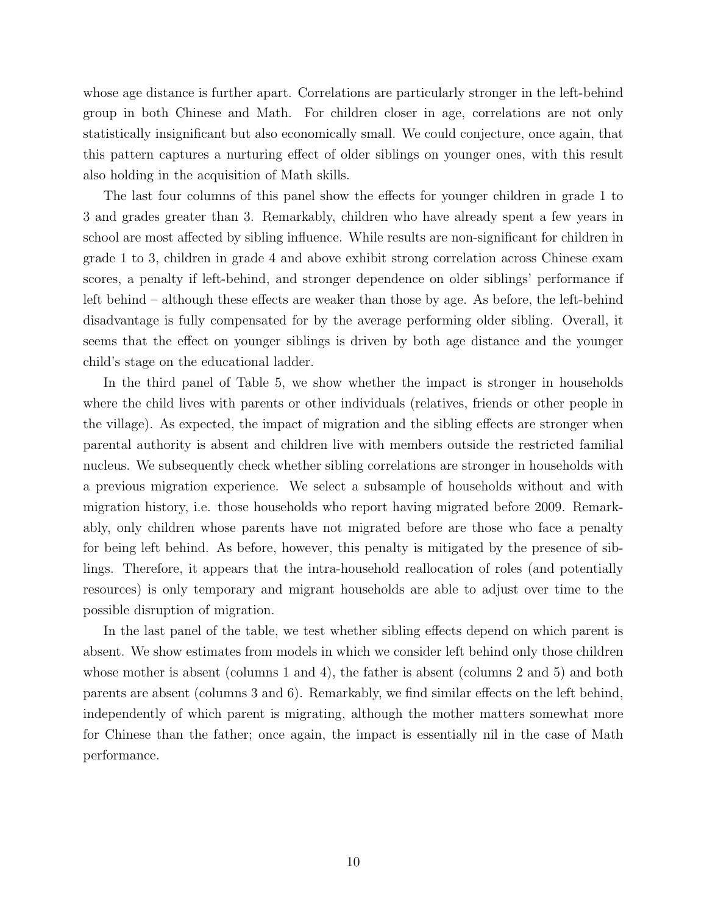whose age distance is further apart. Correlations are particularly stronger in the left-behind group in both Chinese and Math. For children closer in age, correlations are not only statistically insignificant but also economically small. We could conjecture, once again, that this pattern captures a nurturing effect of older siblings on younger ones, with this result also holding in the acquisition of Math skills.

The last four columns of this panel show the effects for younger children in grade 1 to 3 and grades greater than 3. Remarkably, children who have already spent a few years in school are most affected by sibling influence. While results are non-significant for children in grade 1 to 3, children in grade 4 and above exhibit strong correlation across Chinese exam scores, a penalty if left-behind, and stronger dependence on older siblings' performance if left behind – although these effects are weaker than those by age. As before, the left-behind disadvantage is fully compensated for by the average performing older sibling. Overall, it seems that the effect on younger siblings is driven by both age distance and the younger child's stage on the educational ladder.

In the third panel of Table [5,](#page-20-0) we show whether the impact is stronger in households where the child lives with parents or other individuals (relatives, friends or other people in the village). As expected, the impact of migration and the sibling effects are stronger when parental authority is absent and children live with members outside the restricted familial nucleus. We subsequently check whether sibling correlations are stronger in households with a previous migration experience. We select a subsample of households without and with migration history, i.e. those households who report having migrated before 2009. Remarkably, only children whose parents have not migrated before are those who face a penalty for being left behind. As before, however, this penalty is mitigated by the presence of siblings. Therefore, it appears that the intra-household reallocation of roles (and potentially resources) is only temporary and migrant households are able to adjust over time to the possible disruption of migration.

In the last panel of the table, we test whether sibling effects depend on which parent is absent. We show estimates from models in which we consider left behind only those children whose mother is absent (columns 1 and 4), the father is absent (columns 2 and 5) and both parents are absent (columns 3 and 6). Remarkably, we find similar effects on the left behind, independently of which parent is migrating, although the mother matters somewhat more for Chinese than the father; once again, the impact is essentially nil in the case of Math performance.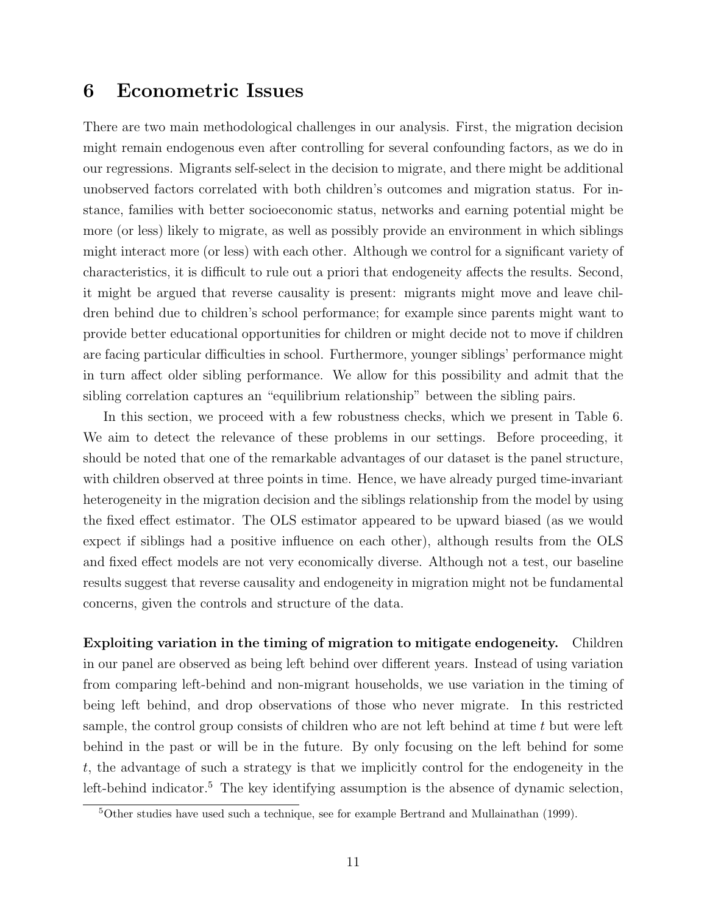#### 6 Econometric Issues

There are two main methodological challenges in our analysis. First, the migration decision might remain endogenous even after controlling for several confounding factors, as we do in our regressions. Migrants self-select in the decision to migrate, and there might be additional unobserved factors correlated with both children's outcomes and migration status. For instance, families with better socioeconomic status, networks and earning potential might be more (or less) likely to migrate, as well as possibly provide an environment in which siblings might interact more (or less) with each other. Although we control for a significant variety of characteristics, it is difficult to rule out a priori that endogeneity affects the results. Second, it might be argued that reverse causality is present: migrants might move and leave children behind due to children's school performance; for example since parents might want to provide better educational opportunities for children or might decide not to move if children are facing particular difficulties in school. Furthermore, younger siblings' performance might in turn affect older sibling performance. We allow for this possibility and admit that the sibling correlation captures an "equilibrium relationship" between the sibling pairs.

In this section, we proceed with a few robustness checks, which we present in Table [6.](#page-21-0) We aim to detect the relevance of these problems in our settings. Before proceeding, it should be noted that one of the remarkable advantages of our dataset is the panel structure, with children observed at three points in time. Hence, we have already purged time-invariant heterogeneity in the migration decision and the siblings relationship from the model by using the fixed effect estimator. The OLS estimator appeared to be upward biased (as we would expect if siblings had a positive influence on each other), although results from the OLS and fixed effect models are not very economically diverse. Although not a test, our baseline results suggest that reverse causality and endogeneity in migration might not be fundamental concerns, given the controls and structure of the data.

Exploiting variation in the timing of migration to mitigate endogeneity. Children in our panel are observed as being left behind over different years. Instead of using variation from comparing left-behind and non-migrant households, we use variation in the timing of being left behind, and drop observations of those who never migrate. In this restricted sample, the control group consists of children who are not left behind at time  $t$  but were left behind in the past or will be in the future. By only focusing on the left behind for some t, the advantage of such a strategy is that we implicitly control for the endogeneity in the left-behind indicator.<sup>[5](#page-13-0)</sup> The key identifying assumption is the absence of dynamic selection,

<span id="page-13-0"></span><sup>5</sup>Other studies have used such a technique, see for example [Bertrand and Mullainathan](#page-22-13) [\(1999\)](#page-22-13).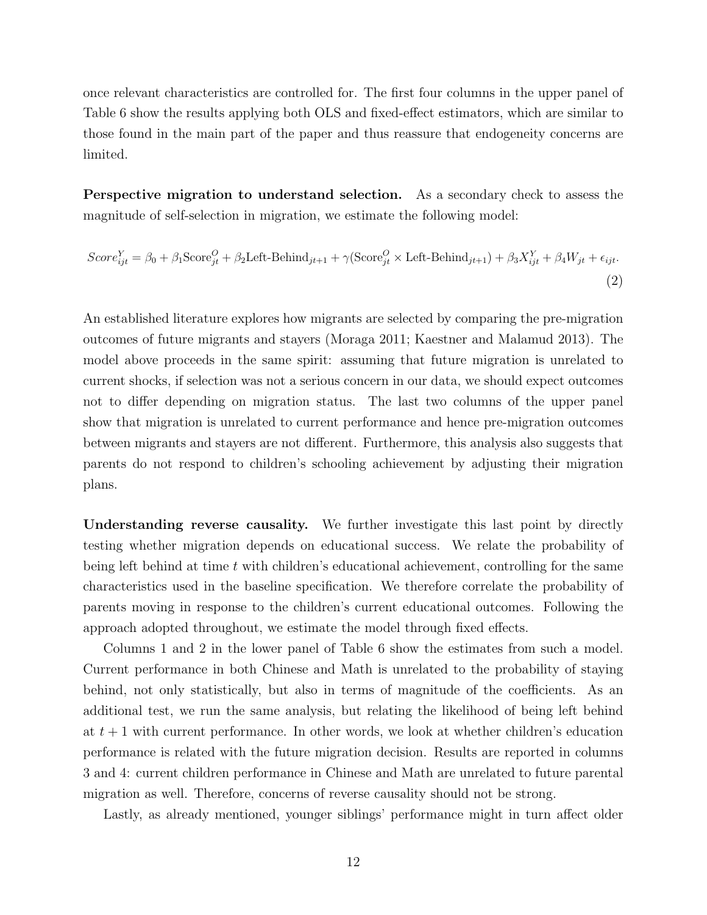once relevant characteristics are controlled for. The first four columns in the upper panel of Table [6](#page-21-0) show the results applying both OLS and fixed-effect estimators, which are similar to those found in the main part of the paper and thus reassure that endogeneity concerns are limited.

Perspective migration to understand selection. As a secondary check to assess the magnitude of self-selection in migration, we estimate the following model:

<span id="page-14-0"></span>
$$
Score_{ijt}^{Y} = \beta_0 + \beta_1 \text{Score}_{jt}^{O} + \beta_2 \text{Left-Behind}_{jt+1} + \gamma (\text{Score}_{jt}^{O} \times \text{Left-Behind}_{jt+1}) + \beta_3 X_{ijt}^{Y} + \beta_4 W_{jt} + \epsilon_{ijt}.
$$
\n(2)

An established literature explores how migrants are selected by comparing the pre-migration outcomes of future migrants and stayers [\(Moraga](#page-23-11) [2011;](#page-23-11) [Kaestner and Malamud](#page-23-12) [2013\)](#page-23-12). The model above proceeds in the same spirit: assuming that future migration is unrelated to current shocks, if selection was not a serious concern in our data, we should expect outcomes not to differ depending on migration status. The last two columns of the upper panel show that migration is unrelated to current performance and hence pre-migration outcomes between migrants and stayers are not different. Furthermore, this analysis also suggests that parents do not respond to children's schooling achievement by adjusting their migration plans.

Understanding reverse causality. We further investigate this last point by directly testing whether migration depends on educational success. We relate the probability of being left behind at time  $t$  with children's educational achievement, controlling for the same characteristics used in the baseline specification. We therefore correlate the probability of parents moving in response to the children's current educational outcomes. Following the approach adopted throughout, we estimate the model through fixed effects.

Columns 1 and 2 in the lower panel of Table [6](#page-21-0) show the estimates from such a model. Current performance in both Chinese and Math is unrelated to the probability of staying behind, not only statistically, but also in terms of magnitude of the coefficients. As an additional test, we run the same analysis, but relating the likelihood of being left behind at  $t + 1$  with current performance. In other words, we look at whether children's education performance is related with the future migration decision. Results are reported in columns 3 and 4: current children performance in Chinese and Math are unrelated to future parental migration as well. Therefore, concerns of reverse causality should not be strong.

Lastly, as already mentioned, younger siblings' performance might in turn affect older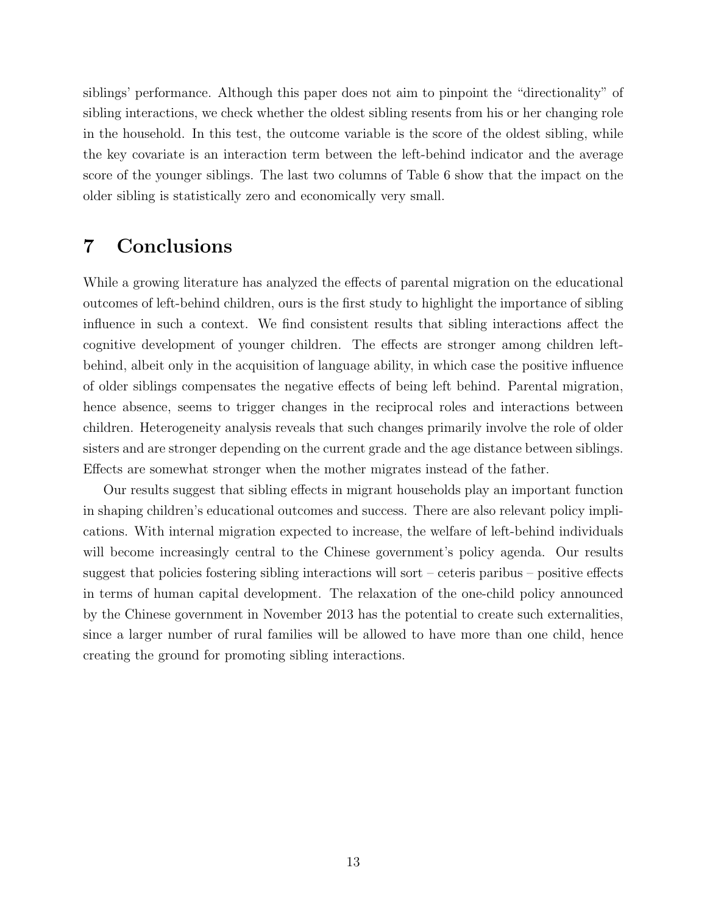siblings' performance. Although this paper does not aim to pinpoint the "directionality" of sibling interactions, we check whether the oldest sibling resents from his or her changing role in the household. In this test, the outcome variable is the score of the oldest sibling, while the key covariate is an interaction term between the left-behind indicator and the average score of the younger siblings. The last two columns of Table [6](#page-21-0) show that the impact on the older sibling is statistically zero and economically very small.

## 7 Conclusions

While a growing literature has analyzed the effects of parental migration on the educational outcomes of left-behind children, ours is the first study to highlight the importance of sibling influence in such a context. We find consistent results that sibling interactions affect the cognitive development of younger children. The effects are stronger among children leftbehind, albeit only in the acquisition of language ability, in which case the positive influence of older siblings compensates the negative effects of being left behind. Parental migration, hence absence, seems to trigger changes in the reciprocal roles and interactions between children. Heterogeneity analysis reveals that such changes primarily involve the role of older sisters and are stronger depending on the current grade and the age distance between siblings. Effects are somewhat stronger when the mother migrates instead of the father.

Our results suggest that sibling effects in migrant households play an important function in shaping children's educational outcomes and success. There are also relevant policy implications. With internal migration expected to increase, the welfare of left-behind individuals will become increasingly central to the Chinese government's policy agenda. Our results suggest that policies fostering sibling interactions will sort – ceteris paribus – positive effects in terms of human capital development. The relaxation of the one-child policy announced by the Chinese government in November 2013 has the potential to create such externalities, since a larger number of rural families will be allowed to have more than one child, hence creating the ground for promoting sibling interactions.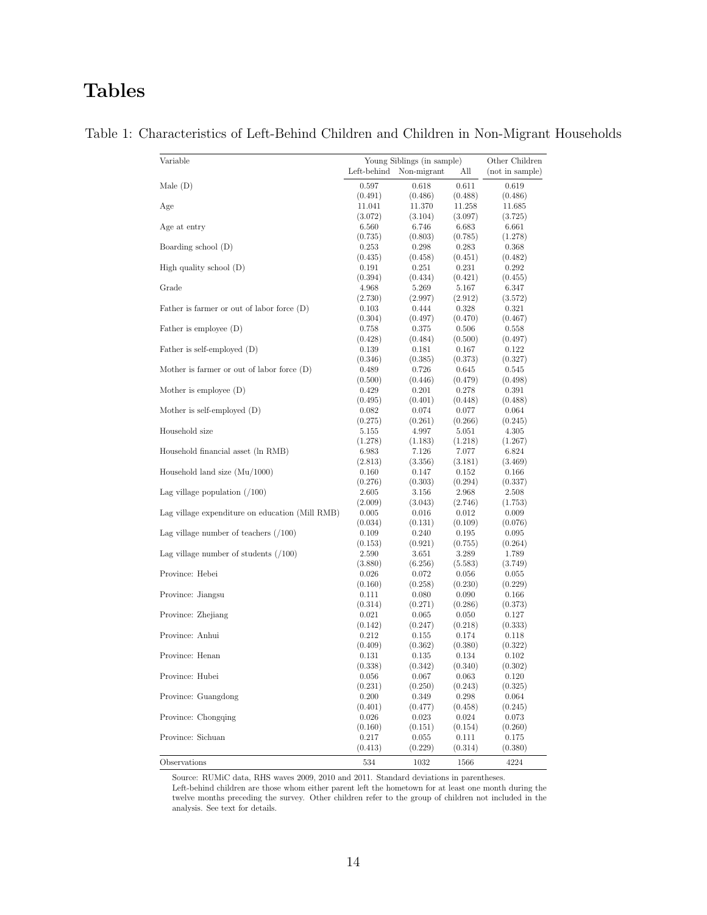# Tables

| Variable                                        | Young Siblings (in sample)<br>Left-behind | Other Children<br>(not in sample) |                   |                   |
|-------------------------------------------------|-------------------------------------------|-----------------------------------|-------------------|-------------------|
|                                                 |                                           | Non-migrant                       | All               |                   |
| Male(D)                                         | 0.597                                     | 0.618                             | 0.611             | 0.619             |
| Age                                             | (0.491)<br>11.041                         | (0.486)<br>11.370                 | (0.488)<br>11.258 | (0.486)<br>11.685 |
|                                                 | (3.072)                                   | (3.104)                           | (3.097)           | (3.725)           |
| Age at entry                                    | 6.560                                     | 6.746                             | 6.683             | 6.661             |
|                                                 | (0.735)                                   | (0.803)                           | (0.785)           | (1.278)           |
| Boarding school (D)                             | 0.253                                     | 0.298                             | 0.283             | 0.368             |
|                                                 | (0.435)                                   | (0.458)                           | (0.451)           | (0.482)           |
| High quality school $(D)$                       | 0.191                                     | 0.251                             | 0.231             | 0.292             |
|                                                 | (0.394)                                   | (0.434)                           | (0.421)           | (0.455)           |
| Grade                                           | 4.968                                     | 5.269                             | 5.167             | 6.347             |
|                                                 | (2.730)                                   | (2.997)                           | (2.912)           | (3.572)           |
| Father is farmer or out of labor force $(D)$    | 0.103                                     | 0.444                             | 0.328             | 0.321             |
|                                                 | (0.304)                                   | (0.497)                           | (0.470)           | (0.467)           |
| Father is employee $(D)$                        | 0.758                                     | 0.375                             | 0.506             | 0.558             |
| Father is self-employed (D)                     | (0.428)<br>0.139                          | (0.484)<br>0.181                  | (0.500)<br>0.167  | (0.497)<br>0.122  |
|                                                 | (0.346)                                   | (0.385)                           | (0.373)           | (0.327)           |
| Mother is farmer or out of labor force $(D)$    | 0.489                                     | 0.726                             | 0.645             | 0.545             |
|                                                 | (0.500)                                   | (0.446)                           | (0.479)           | (0.498)           |
| Mother is employee $(D)$                        | 0.429                                     | 0.201                             | 0.278             | 0.391             |
|                                                 | (0.495)                                   | (0.401)                           | (0.448)           | (0.488)           |
| Mother is self-employed $(D)$                   | 0.082                                     | 0.074                             | 0.077             | 0.064             |
|                                                 | (0.275)                                   | (0.261)                           | (0.266)           | (0.245)           |
| Household size                                  | 5.155                                     | 4.997                             | 5.051             | 4.305             |
|                                                 | (1.278)                                   | (1.183)                           | (1.218)           | (1.267)           |
| Household financial asset (ln RMB)              | 6.983                                     | 7.126                             | 7.077             | 6.824             |
|                                                 | (2.813)                                   | (3.356)                           | (3.181)           | (3.469)           |
| Household land size $(Mu/1000)$                 | 0.160                                     | 0.147                             | 0.152             | 0.166             |
|                                                 | (0.276)                                   | (0.303)                           | (0.294)           | (0.337)           |
| Lag village population $(100)$                  | 2.605<br>(2.009)                          | 3.156<br>(3.043)                  | 2.968<br>(2.746)  | 2.508<br>(1.753)  |
| Lag village expenditure on education (Mill RMB) | 0.005                                     | 0.016                             | 0.012             | $0.009\,$         |
|                                                 | (0.034)                                   | (0.131)                           | (0.109)           | (0.076)           |
| Lag village number of teachers $(100)$          | 0.109                                     | 0.240                             | 0.195             | 0.095             |
|                                                 | (0.153)                                   | (0.921)                           | (0.755)           | (0.264)           |
| Lag village number of students $(100)$          | 2.590                                     | 3.651                             | 3.289             | 1.789             |
|                                                 | (3.880)                                   | (6.256)                           | (5.583)           | (3.749)           |
| Province: Hebei                                 | 0.026                                     | 0.072                             | 0.056             | 0.055             |
|                                                 | (0.160)                                   | (0.258)                           | (0.230)           | (0.229)           |
| Province: Jiangsu                               | 0.111                                     | 0.080                             | 0.090             | 0.166             |
|                                                 | (0.314)                                   | (0.271)                           | (0.286)           | (0.373)           |
| Province: Zhejiang                              | 0.021                                     | 0.065                             | 0.050             | 0.127             |
|                                                 | (0.142)                                   | (0.247)                           | (0.218)           | (0.333)           |
| Province: Anhui                                 | 0.212                                     | 0.155<br>(0.362)                  | 0.174             | 0.118             |
| Province: Henan                                 | (0.409)<br>0.131                          | 0.135                             | (0.380)<br>0.134  | (0.322)<br>0.102  |
|                                                 | (0.338)                                   | (0.342)                           | (0.340)           | (0.302)           |
| Province: Hubei                                 | 0.056                                     | 0.067                             | 0.063             | 0.120             |
|                                                 | (0.231)                                   | (0.250)                           | (0.243)           | (0.325)           |
| Province: Guangdong                             | 0.200                                     | 0.349                             | 0.298             | $0.064\,$         |
|                                                 | (0.401)                                   | (0.477)                           | (0.458)           | (0.245)           |
| Province: Chongqing                             | 0.026                                     | 0.023                             | 0.024             | 0.073             |
|                                                 | (0.160)                                   | (0.151)                           | (0.154)           | (0.260)           |
| Province: Sichuan                               | 0.217                                     | 0.055                             | 0.111             | 0.175             |
|                                                 | (0.413)                                   | (0.229)                           | (0.314)           | (0.380)           |
| Observations                                    | 534                                       | 1032                              | 1566              | 4224              |

#### <span id="page-16-0"></span>Table 1: Characteristics of Left-Behind Children and Children in Non-Migrant Households

Source: RUMiC data, RHS waves 2009, 2010 and 2011. Standard deviations in parentheses.

Left-behind children are those whom either parent left the hometown for at least one month during the Left-behind children are those whom either parent left the hometown for at least one month during the twelve months preceding the survey. Other children refer to the group of children not included in the analysis. See text for details.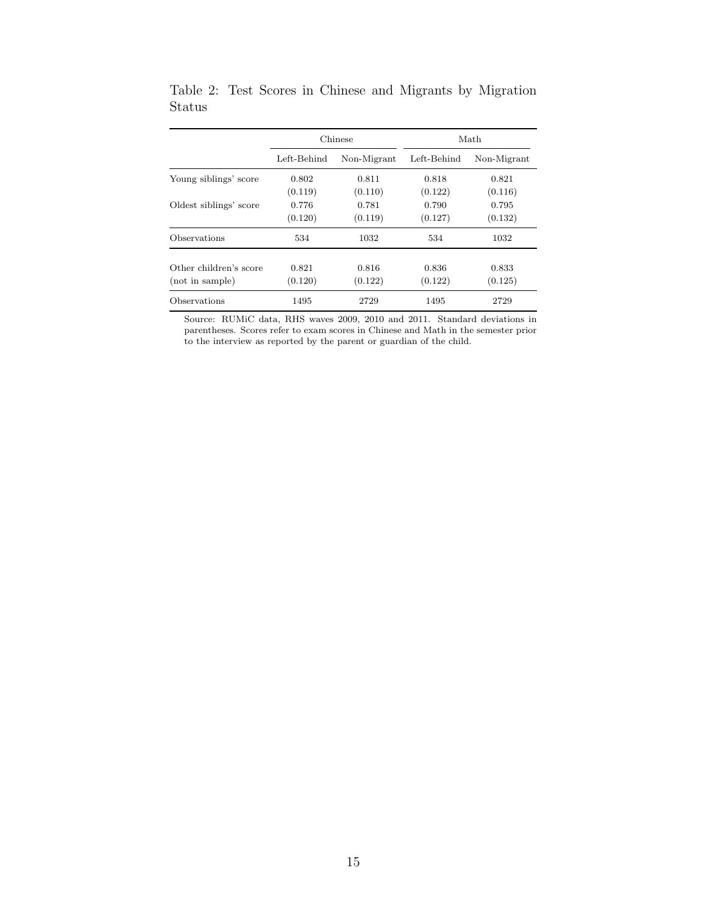|                        |                            | Chinese | Math        |                |  |  |
|------------------------|----------------------------|---------|-------------|----------------|--|--|
|                        | Left-Behind<br>Non-Migrant |         | Left-Behind | Non-Migrant    |  |  |
| Young siblings' score  | 0.802                      | 0.811   |             | 0.818<br>0.821 |  |  |
|                        | (0.119)                    | (0.110) | (0.122)     | (0.116)        |  |  |
| Oldest siblings' score | 0.776                      | 0.781   | 0.790       | 0.795          |  |  |
|                        | (0.120)                    | (0.119) | (0.127)     | (0.132)        |  |  |
| Observations           | 534                        | 1032    | 534         | 1032           |  |  |
| Other children's score | 0.821                      | 0.816   | 0.836       | 0.833          |  |  |
| (not in sample)        | (0.120)                    | (0.122) | (0.122)     | (0.125)        |  |  |
|                        |                            |         |             |                |  |  |
| Observations           | 1495                       | 2729    | 1495        | 2729           |  |  |

<span id="page-17-0"></span>Table 2: Test Scores in Chinese and Migrants by Migration Status

Source: RUMiC data, RHS waves 2009, 2010 and 2011. Standard deviations in parentheses. Scores refer to exam scores in Chinese and Math in the semester prior to the interview as reported by the parent or guardian of the child.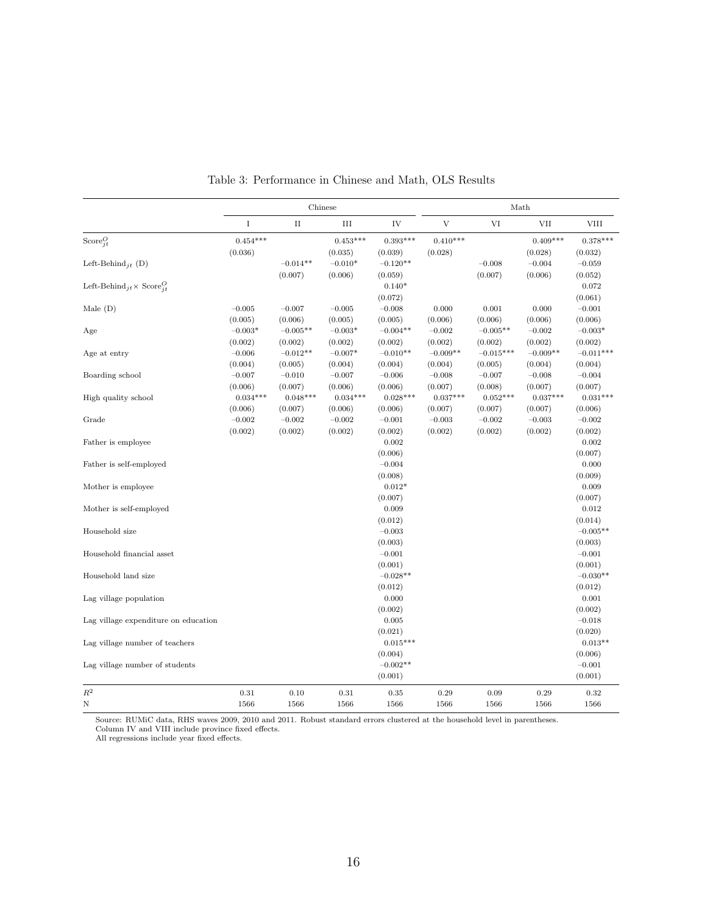<span id="page-18-0"></span>

|                                                              | Chinese    |            |            |            | Math       |             |            |             |
|--------------------------------------------------------------|------------|------------|------------|------------|------------|-------------|------------|-------------|
|                                                              | $\bf I$    | $\rm II$   | $\rm III$  | IV         | V          | VI          | <b>VII</b> | <b>VIII</b> |
| Score $_{it}^O$                                              | $0.454***$ |            | $0.453***$ | $0.393***$ | $0.410***$ |             | $0.409***$ | $0.378***$  |
|                                                              | (0.036)    |            | (0.035)    | (0.039)    | (0.028)    |             | (0.028)    | (0.032)     |
| Left-Behind <sub>it</sub> (D)                                |            | $-0.014**$ | $-0.010*$  | $-0.120**$ |            | $-0.008$    | $-0.004$   | $-0.059$    |
|                                                              |            | (0.007)    | (0.006)    | (0.059)    |            | (0.007)     | (0.006)    | (0.052)     |
| Left-Behind <sub>it</sub> $\times$ Score <sup><i>Q</i></sup> |            |            |            | $0.140*$   |            |             |            | 0.072       |
|                                                              |            |            |            | (0.072)    |            |             |            | (0.061)     |
| Male $(D)$                                                   | $-0.005$   | $-0.007$   | $-0.005$   | $-0.008$   | 0.000      | 0.001       | 0.000      | $-0.001$    |
|                                                              | (0.005)    | (0.006)    | (0.005)    | (0.005)    | (0.006)    | (0.006)     | (0.006)    | (0.006)     |
| Age                                                          | $-0.003*$  | $-0.005**$ | $-0.003*$  | $-0.004**$ | $-0.002$   | $-0.005**$  | $-0.002$   | $-0.003*$   |
|                                                              | (0.002)    | (0.002)    | (0.002)    | (0.002)    | (0.002)    | (0.002)     | (0.002)    | (0.002)     |
| Age at entry                                                 | $-0.006$   | $-0.012**$ | $-0.007*$  | $-0.010**$ | $-0.009**$ | $-0.015***$ | $-0.009**$ | $-0.011***$ |
|                                                              | (0.004)    | (0.005)    | (0.004)    | (0.004)    | (0.004)    | (0.005)     | (0.004)    | (0.004)     |
| Boarding school                                              | $-0.007$   | $-0.010$   | $-0.007$   | $-0.006$   | $-0.008$   | $-0.007$    | $-0.008$   | $-0.004$    |
|                                                              | (0.006)    | (0.007)    | (0.006)    | (0.006)    | (0.007)    | (0.008)     | (0.007)    | (0.007)     |
| High quality school                                          | $0.034***$ | $0.048***$ | $0.034***$ | $0.028***$ | $0.037***$ | $0.052***$  | $0.037***$ | $0.031***$  |
|                                                              | (0.006)    | (0.007)    | (0.006)    | (0.006)    | (0.007)    | (0.007)     | (0.007)    | (0.006)     |
| Grade                                                        | $-0.002$   | $-0.002$   | $-0.002$   | $-0.001$   | $-0.003$   | $-0.002$    | $-0.003$   | $-0.002$    |
|                                                              | (0.002)    | (0.002)    | (0.002)    | (0.002)    | (0.002)    | (0.002)     | (0.002)    | (0.002)     |
|                                                              |            |            |            | 0.002      |            |             |            | 0.002       |
| Father is employee                                           |            |            |            |            |            |             |            |             |
|                                                              |            |            |            | (0.006)    |            |             |            | (0.007)     |
| Father is self-employed                                      |            |            |            | $-0.004$   |            |             |            | 0.000       |
|                                                              |            |            |            | (0.008)    |            |             |            | (0.009)     |
| Mother is employee.                                          |            |            |            | $0.012*$   |            |             |            | 0.009       |
|                                                              |            |            |            | (0.007)    |            |             |            | (0.007)     |
| Mother is self-employed                                      |            |            |            | 0.009      |            |             |            | 0.012       |
|                                                              |            |            |            | (0.012)    |            |             |            | (0.014)     |
| Household size                                               |            |            |            | $-0.003$   |            |             |            | $-0.005**$  |
|                                                              |            |            |            | (0.003)    |            |             |            | (0.003)     |
| Household financial asset                                    |            |            |            | $-0.001$   |            |             |            | $-0.001$    |
|                                                              |            |            |            | (0.001)    |            |             |            | (0.001)     |
| Household land size                                          |            |            |            | $-0.028**$ |            |             |            | $-0.030**$  |
|                                                              |            |            |            | (0.012)    |            |             |            | (0.012)     |
| Lag village population                                       |            |            |            | 0.000      |            |             |            | 0.001       |
|                                                              |            |            |            | (0.002)    |            |             |            | (0.002)     |
| Lag village expenditure on education                         |            |            |            | 0.005      |            |             |            | $-0.018$    |
|                                                              |            |            |            | (0.021)    |            |             |            | (0.020)     |
| Lag village number of teachers                               |            |            |            | $0.015***$ |            |             |            | $0.013**$   |
|                                                              |            |            |            | (0.004)    |            |             |            | (0.006)     |
| Lag village number of students                               |            |            |            | $-0.002**$ |            |             |            | $-0.001$    |
|                                                              |            |            |            | (0.001)    |            |             |            | (0.001)     |
| $\mathbb{R}^2$                                               | 0.31       | 0.10       | 0.31       | 0.35       | 0.29       | 0.09        | 0.29       | 0.32        |
| N                                                            | 1566       | 1566       | 1566       | 1566       | 1566       | 1566        | 1566       | 1566        |
|                                                              |            |            |            |            |            |             |            |             |

Table 3: Performance in Chinese and Math, OLS Results

Source: RUMiC data, RHS waves 2009, 2010 and 2011. Robust standard errors clustered at the household level in parentheses. Column IV and VIII include province fixed effects.

All regressions include year fixed effects.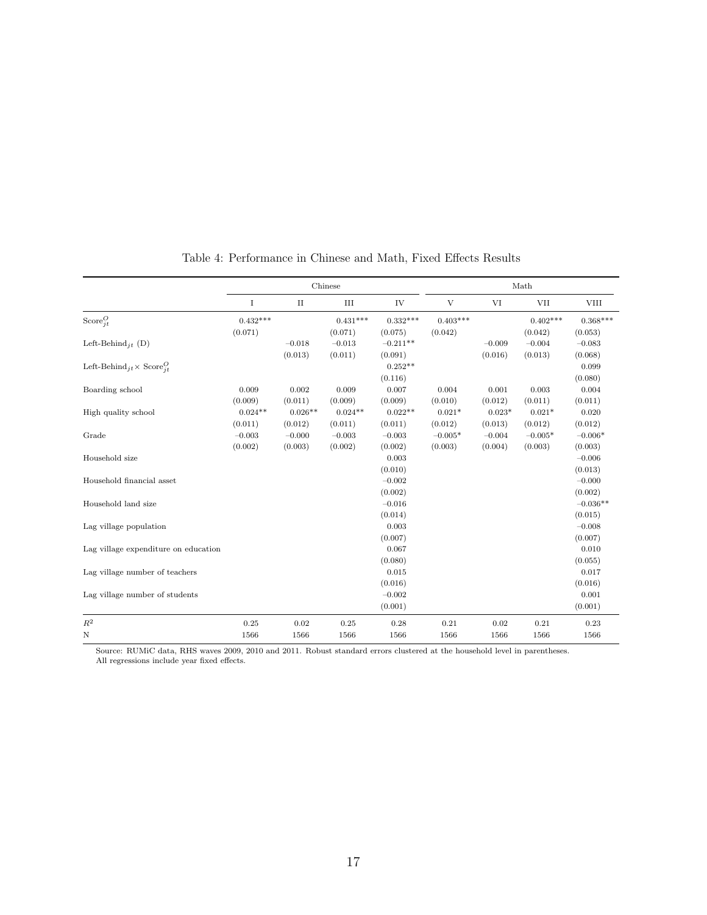<span id="page-19-0"></span>

|                                              | Chinese     |           |            |            | Math         |          |            |             |
|----------------------------------------------|-------------|-----------|------------|------------|--------------|----------|------------|-------------|
|                                              | $\mathbf I$ | $\rm II$  | $\rm III$  | IV         | $\mathbf{V}$ | VI       | <b>VII</b> | <b>VIII</b> |
| Score $_{it}^O$                              | $0.432***$  |           | $0.431***$ | $0.332***$ | $0.403***$   |          | $0.402***$ | $0.368***$  |
|                                              | (0.071)     |           | (0.071)    | (0.075)    | (0.042)      |          | (0.042)    | (0.053)     |
| Left-Behind <sub>it</sub> (D)                |             | $-0.018$  | $-0.013$   | $-0.211**$ |              | $-0.009$ | $-0.004$   | $-0.083$    |
|                                              |             | (0.013)   | (0.011)    | (0.091)    |              | (0.016)  | (0.013)    | (0.068)     |
| Left-Behind $i_t \times \text{Score}^O_{it}$ |             |           |            | $0.252**$  |              |          |            | 0.099       |
|                                              |             |           |            | (0.116)    |              |          |            | (0.080)     |
| Boarding school                              | 0.009       | 0.002     | 0.009      | 0.007      | 0.004        | 0.001    | 0.003      | 0.004       |
|                                              | (0.009)     | (0.011)   | (0.009)    | (0.009)    | (0.010)      | (0.012)  | (0.011)    | (0.011)     |
| High quality school                          | $0.024**$   | $0.026**$ | $0.024**$  | $0.022**$  | $0.021*$     | $0.023*$ | $0.021*$   | 0.020       |
|                                              | (0.011)     | (0.012)   | (0.011)    | (0.011)    | (0.012)      | (0.013)  | (0.012)    | (0.012)     |
| Grade                                        | $-0.003$    | $-0.000$  | $-0.003$   | $-0.003$   | $-0.005*$    | $-0.004$ | $-0.005*$  | $-0.006*$   |
|                                              | (0.002)     | (0.003)   | (0.002)    | (0.002)    | (0.003)      | (0.004)  | (0.003)    | (0.003)     |
| Household size                               |             |           |            | 0.003      |              |          |            | $-0.006$    |
|                                              |             |           |            | (0.010)    |              |          |            | (0.013)     |
| Household financial asset                    |             |           |            | $-0.002$   |              |          |            | $-0.000$    |
|                                              |             |           |            | (0.002)    |              |          |            | (0.002)     |
| Household land size                          |             |           |            | $-0.016$   |              |          |            | $-0.036**$  |
|                                              |             |           |            | (0.014)    |              |          |            | (0.015)     |
| Lag village population                       |             |           |            | 0.003      |              |          |            | $-0.008$    |
|                                              |             |           |            | (0.007)    |              |          |            | (0.007)     |
| Lag village expenditure on education         |             |           |            | 0.067      |              |          |            | 0.010       |
|                                              |             |           |            | (0.080)    |              |          |            | (0.055)     |
| Lag village number of teachers               |             |           |            | 0.015      |              |          |            | 0.017       |
|                                              |             |           |            | (0.016)    |              |          |            | (0.016)     |
| Lag village number of students               |             |           |            | $-0.002$   |              |          |            | 0.001       |
|                                              |             |           |            | (0.001)    |              |          |            | (0.001)     |
| $R^2$                                        | 0.25        | 0.02      | 0.25       | 0.28       | $\rm 0.21$   | 0.02     | 0.21       | 0.23        |
| N                                            | 1566        | 1566      | 1566       | 1566       | 1566         | 1566     | 1566       | 1566        |

#### Table 4: Performance in Chinese and Math, Fixed Effects Results

Source: RUMiC data, RHS waves 2009, 2010 and 2011. Robust standard errors clustered at the household level in parentheses. All regressions include year fixed effects.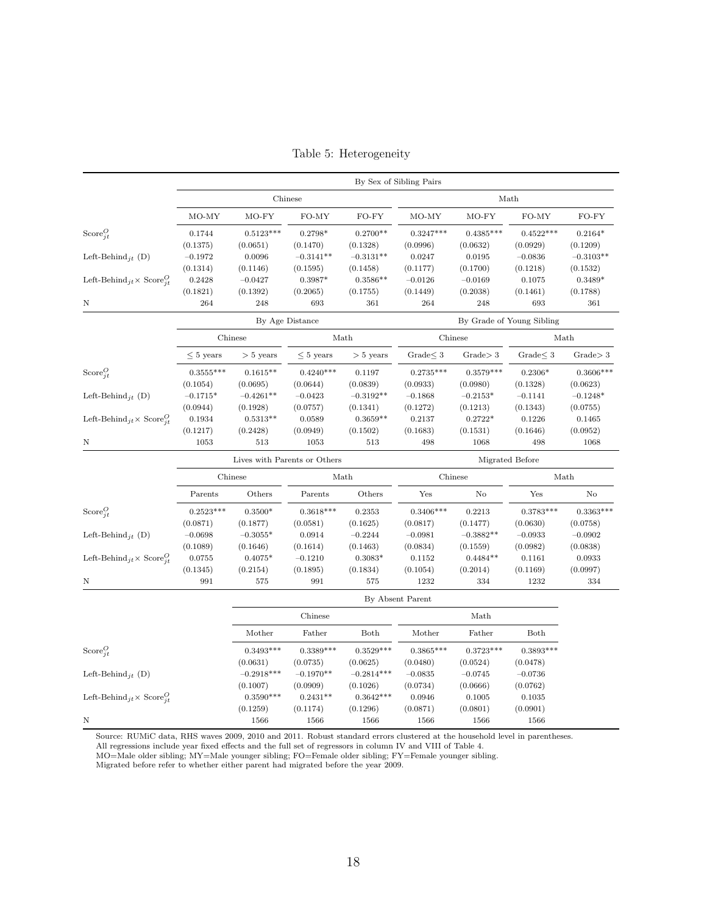<span id="page-20-0"></span>

|                                                                            | By Sex of Sibling Pairs |                                                 |                  |                  |                  |                  |                           |             |  |
|----------------------------------------------------------------------------|-------------------------|-------------------------------------------------|------------------|------------------|------------------|------------------|---------------------------|-------------|--|
|                                                                            | Chinese                 |                                                 |                  |                  | Math             |                  |                           |             |  |
|                                                                            | MO-MY                   | $MO-FY$                                         | FO-MY            | FO-FY            | MO-MY            | $MO-FY$          | FO-MY                     | FO-FY       |  |
| $Score_{it}^O$                                                             | 0.1744                  | $0.5123^{***}\,$                                | $0.2798*$        | $0.2700**$       | $0.3247***$      | $0.4385***$      | $0.4522***$               | $0.2164*$   |  |
|                                                                            | (0.1375)                | (0.0651)                                        | (0.1470)         | (0.1328)         | (0.0996)         | (0.0632)         | (0.0929)                  | (0.1209)    |  |
| Left-Behind <sub>it</sub> (D)                                              | $-0.1972$               | 0.0096                                          | $-0.3141**$      | $-0.3131**$      | 0.0247           | 0.0195           | $-0.0836$                 | $-0.3103**$ |  |
|                                                                            | (0.1314)                | (0.1146)                                        | (0.1595)         | (0.1458)         | (0.1177)         | (0.1700)         | (0.1218)                  | (0.1532)    |  |
| Left-Behind <sub>jt</sub> $\times$ Score <sup><i>Q</i></sup> <sub>it</sub> | 0.2428                  | $-0.0427$                                       | $0.3987*$        | $0.3586**$       | $-0.0126$        | $-0.0169$        | 0.1075                    | $0.3489*$   |  |
|                                                                            | (0.1821)                | (0.1392)                                        | (0.2065)         | (0.1755)         | (0.1449)         | (0.2038)         | (0.1461)                  | (0.1788)    |  |
| Ν                                                                          | 264                     | 248                                             | 693              | 361              | 264              | 248              | 693                       | 361         |  |
|                                                                            |                         |                                                 | By Age Distance  |                  |                  |                  | By Grade of Young Sibling |             |  |
|                                                                            |                         | Chinese                                         |                  | Math             |                  | Chinese          |                           | Math        |  |
|                                                                            | $\leq 5$ years          | $> 5$ years                                     | $\leq 5$ years   | $> 5$ years      | Grade $\leq 3$   | Grade > 3        | Grade $\leq 3$            | Grade > 3   |  |
| $\text{Score}_{it}^O$                                                      | $0.3555***$             | $0.1615**$                                      | $0.4240***$      | 0.1197           | $0.2735***$      | $0.3579***$      | $0.2306*$                 | $0.3606***$ |  |
|                                                                            | (0.1054)                | (0.0695)                                        | (0.0644)         | (0.0839)         | (0.0933)         | (0.0980)         | (0.1328)                  | (0.0623)    |  |
| Left-Behind <sub>it</sub> (D)                                              | $-0.1715*$              | $-0.4261**$                                     | $-0.0423$        | $-0.3192**$      | $-0.1868$        | $-0.2153*$       | $-0.1141$                 | $-0.1248*$  |  |
|                                                                            | (0.0944)                | (0.1928)                                        | (0.0757)         | (0.1341)         | (0.1272)         | (0.1213)         | (0.1343)                  | (0.0755)    |  |
| Left-Behind <sub>it</sub> $\times$ Score <sup><math>Q</math></sup>         | 0.1934                  | $0.5313**$                                      | 0.0589           | $0.3659**$       | 0.2137           | $0.2722*$        | 0.1226                    | 0.1465      |  |
|                                                                            | (0.1217)                | (0.2428)                                        | (0.0949)         | (0.1502)         | (0.1683)         | (0.1531)         | (0.1646)                  | (0.0952)    |  |
| Ν                                                                          | 1053                    | 513                                             | 1053             | 513              | 498              | 1068             | 498                       | 1068        |  |
|                                                                            |                         | Lives with Parents or Others<br>Migrated Before |                  |                  |                  |                  |                           |             |  |
|                                                                            |                         | Chinese                                         |                  | Math             |                  | Chinese          |                           | Math        |  |
|                                                                            | Parents                 | Others                                          | Parents          | Others           | Yes              | $\rm No$         | Yes                       | No          |  |
| Score $_{it}^O$                                                            | $0.2523***$             | $0.3500*$                                       | $0.3618***$      | 0.2353           | $0.3406***$      | 0.2213           | $0.3783***$               | $0.3363***$ |  |
|                                                                            | (0.0871)                | (0.1877)                                        | (0.0581)         | (0.1625)         | (0.0817)         | (0.1477)         | (0.0630)                  | (0.0758)    |  |
| Left-Behind <sub>it</sub> (D)                                              | $-0.0698$               | $-0.3055*$                                      | 0.0914           | $-0.2244$        | $-0.0981$        | $-0.3882**$      | $-0.0933$                 | $-0.0902$   |  |
|                                                                            | (0.1089)                | (0.1646)                                        | (0.1614)         | (0.1463)         | (0.0834)         | (0.1559)         | (0.0982)                  | (0.0838)    |  |
| Left-Behind <sub>jt</sub> $\times$ Score <sup><i>Q</i></sup> <sub>it</sub> | 0.0755                  | $0.4075*$                                       | $-0.1210$        | $0.3083*$        | 0.1152           | $0.4484**$       | 0.1161                    | 0.0933      |  |
|                                                                            | (0.1345)                | (0.2154)                                        | (0.1895)         | (0.1834)         | (0.1054)         | (0.2014)         | (0.1169)                  | (0.0997)    |  |
| Ν                                                                          | 991                     | 575                                             | 991              | 575              | 1232             | 334              | 1232                      | 334         |  |
|                                                                            |                         | By Absent Parent                                |                  |                  |                  |                  |                           |             |  |
|                                                                            |                         |                                                 | Chinese          |                  |                  | Math             |                           |             |  |
|                                                                            |                         | Mother                                          | Father           | Both             | Mother           | Father           | Both                      |             |  |
| Score $_{it}^O$                                                            |                         | $0.3493***$                                     | $0.3389***$      | $0.3529***$      | $0.3865***$      | $0.3723***$      | $0.3893***$               |             |  |
|                                                                            |                         | (0.0631)                                        | (0.0735)         | (0.0625)         | (0.0480)         | (0.0524)         | (0.0478)                  |             |  |
|                                                                            |                         |                                                 |                  |                  |                  |                  |                           |             |  |
| Left-Behind <sub>it</sub> (D)                                              |                         | $-0.2918***$                                    | $-0.1970**$      | $-0.2814***$     | $-0.0835$        | $-0.0745$        | $-0.0736$                 |             |  |
|                                                                            |                         | (0.1007)                                        | (0.0909)         | (0.1026)         | (0.0734)         | (0.0666)         | (0.0762)                  |             |  |
| Left-Behind <sub>jt</sub> $\times$ Score <sup><i>Q</i></sup> <sub>it</sub> |                         | $0.3590***$                                     | $0.2431**$       | $0.3642***$      | 0.0946           | 0.1005           | 0.1035                    |             |  |
| Ν                                                                          |                         | (0.1259)<br>1566                                | (0.1174)<br>1566 | (0.1296)<br>1566 | (0.0871)<br>1566 | (0.0801)<br>1566 | (0.0901)<br>1566          |             |  |

Table 5: Heterogeneity

Source: RUMiC data, RHS waves 2009, 2010 and 2011. Robust standard errors clustered at the household level in parentheses.

All regressions include year fixed effects and the full set of regressors in column IV and VIII of Table [4.](#page-19-0)

MO=Male older sibling; MY=Male younger sibling; FO=Female older sibling; FY=Female younger sibling.

Migrated before refer to whether either parent had migrated before the year 2009.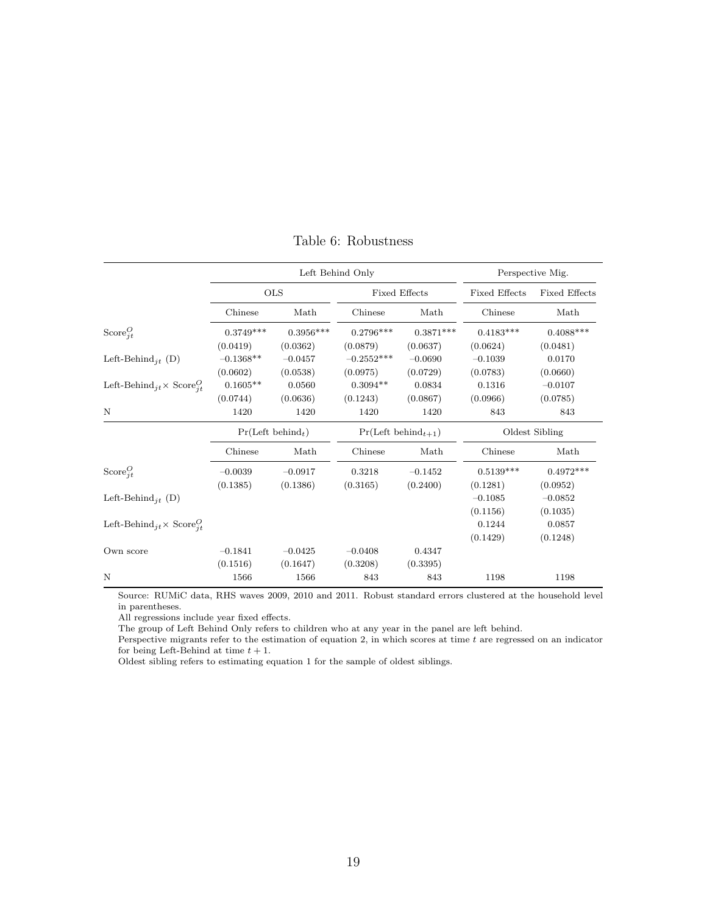<span id="page-21-0"></span>

|                                                                     |                               | Left Behind Only | Perspective Mig. |                         |                      |                      |  |
|---------------------------------------------------------------------|-------------------------------|------------------|------------------|-------------------------|----------------------|----------------------|--|
|                                                                     |                               | <b>OLS</b>       |                  | <b>Fixed Effects</b>    | <b>Fixed Effects</b> | <b>Fixed Effects</b> |  |
|                                                                     | Chinese                       | Math             | Math<br>Chinese  |                         | Chinese              | Math                 |  |
| $\text{Score}_{it}^O$                                               | $0.3749***$                   | $0.3956***$      | $0.2796***$      | $0.3871***$             | $0.4183***$          | $0.4088***$          |  |
|                                                                     | (0.0419)                      | (0.0362)         | (0.0879)         | (0.0637)                | (0.0624)             | (0.0481)             |  |
| Left-Behind <sub>it</sub> (D)                                       | $-0.1368**$                   | $-0.0457$        | $-0.2552***$     | $-0.0690$               | $-0.1039$            | 0.0170               |  |
|                                                                     | (0.0602)                      | (0.0538)         | (0.0975)         | (0.0729)                | (0.0783)             | (0.0660)             |  |
| Left-Behind <sub>jt</sub> × Score <sup><i>Q</i></sup>               | $0.1605**$                    | 0.0560           | $0.3094**$       | 0.0834                  | 0.1316               | $-0.0107$            |  |
|                                                                     | (0.0744)                      | (0.0636)         | (0.1243)         | (0.0867)                | (0.0966)             | (0.0785)             |  |
| N                                                                   | 1420                          | 1420             | 1420             | 1420                    | 843                  | 843                  |  |
|                                                                     | Pr(Left behind <sub>t</sub> ) |                  |                  | $Pr(Left behind_{t+1})$ | Oldest Sibling       |                      |  |
|                                                                     | Chinese                       | Math             | Chinese          | Math                    | Chinese              | Math                 |  |
| $\text{Score}_{it}^O$                                               | $-0.0039$                     | $-0.0917$        | 0.3218           | $-0.1452$               | $0.5139***$          | $0.4972***$          |  |
|                                                                     | (0.1385)                      | (0.1386)         | (0.3165)         | (0.2400)                | (0.1281)             | (0.0952)             |  |
| Left-Behind <sub>it</sub> (D)                                       |                               |                  |                  |                         | $-0.1085$            | $-0.0852$            |  |
|                                                                     |                               |                  |                  |                         | (0.1156)             | (0.1035)             |  |
| Left-Behind <sub>jt</sub> × Score <sup><i>O</i></sup> <sub>it</sub> |                               |                  |                  |                         | 0.1244               | 0.0857               |  |
|                                                                     |                               |                  |                  |                         | (0.1429)             | (0.1248)             |  |
| Own score                                                           | $-0.1841$                     | $-0.0425$        | $-0.0408$        | 0.4347                  |                      |                      |  |
|                                                                     | (0.1516)                      | (0.1647)         | (0.3208)         | (0.3395)                |                      |                      |  |
| N                                                                   | 1566                          | 1566             | 843              | 843                     | 1198                 | 1198                 |  |

Table 6: Robustness

Source: RUMiC data, RHS waves 2009, 2010 and 2011. Robust standard errors clustered at the household level in parentheses.

All regressions include year fixed effects.

The group of Left Behind Only refers to children who at any year in the panel are left behind.

Perspective migrants refer to the estimation of equation [2,](#page-14-0) in which scores at time  $t$  are regressed on an indicator for being Left-Behind at time  $t + 1$ .

Oldest sibling refers to estimating equation [1](#page-6-0) for the sample of oldest siblings.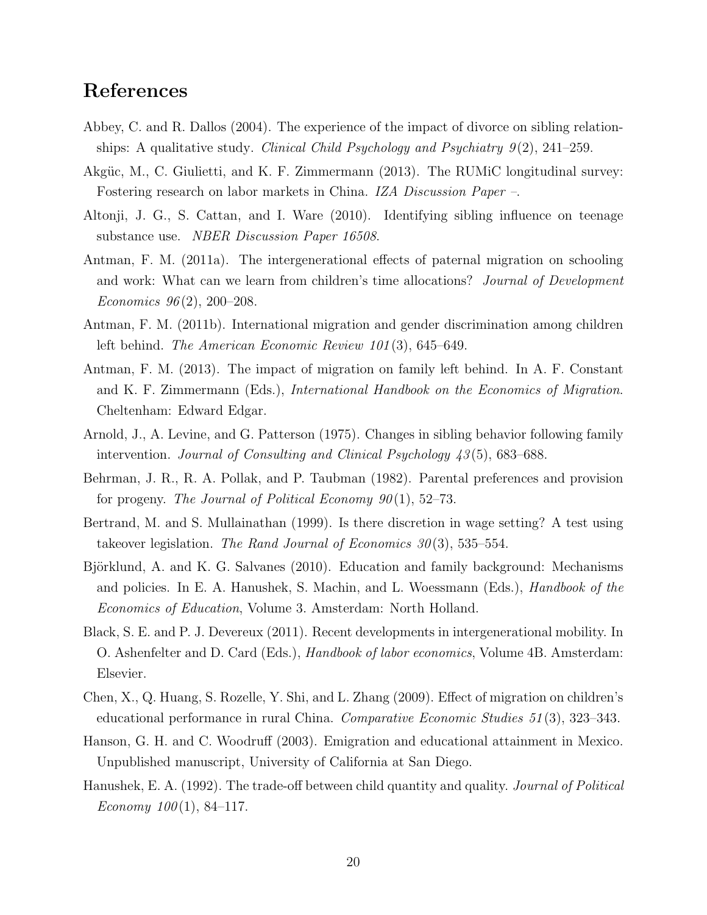## References

- <span id="page-22-6"></span>Abbey, C. and R. Dallos (2004). The experience of the impact of divorce on sibling relationships: A qualitative study. Clinical Child Psychology and Psychiatry  $9(2)$ , 241–259.
- <span id="page-22-11"></span>Akgüc, M., C. Giulietti, and K. F. Zimmermann (2013). The RUMiC longitudinal survey: Fostering research on labor markets in China. IZA Discussion Paper –.
- <span id="page-22-3"></span>Altonji, J. G., S. Cattan, and I. Ware (2010). Identifying sibling influence on teenage substance use. NBER Discussion Paper 16508.
- <span id="page-22-9"></span>Antman, F. M. (2011a). The intergenerational effects of paternal migration on schooling and work: What can we learn from children's time allocations? Journal of Development Economics  $96(2)$ , 200-208.
- <span id="page-22-8"></span>Antman, F. M. (2011b). International migration and gender discrimination among children left behind. The American Economic Review 101 (3), 645–649.
- <span id="page-22-0"></span>Antman, F. M. (2013). The impact of migration on family left behind. In A. F. Constant and K. F. Zimmermann (Eds.), International Handbook on the Economics of Migration. Cheltenham: Edward Edgar.
- <span id="page-22-2"></span>Arnold, J., A. Levine, and G. Patterson (1975). Changes in sibling behavior following family intervention. Journal of Consulting and Clinical Psychology 43 (5), 683–688.
- <span id="page-22-4"></span>Behrman, J. R., R. A. Pollak, and P. Taubman (1982). Parental preferences and provision for progeny. The Journal of Political Economy  $90(1)$ , 52–73.
- <span id="page-22-13"></span>Bertrand, M. and S. Mullainathan (1999). Is there discretion in wage setting? A test using takeover legislation. The Rand Journal of Economics  $30(3)$ , 535–554.
- <span id="page-22-12"></span>Björklund, A. and K. G. Salvanes (2010). Education and family background: Mechanisms and policies. In E. A. Hanushek, S. Machin, and L. Woessmann (Eds.), *Handbook of the* Economics of Education, Volume 3. Amsterdam: North Holland.
- <span id="page-22-1"></span>Black, S. E. and P. J. Devereux (2011). Recent developments in intergenerational mobility. In O. Ashenfelter and D. Card (Eds.), Handbook of labor economics, Volume 4B. Amsterdam: Elsevier.
- <span id="page-22-10"></span>Chen, X., Q. Huang, S. Rozelle, Y. Shi, and L. Zhang (2009). Effect of migration on children's educational performance in rural China. Comparative Economic Studies 51 (3), 323–343.
- <span id="page-22-7"></span>Hanson, G. H. and C. Woodruff (2003). Emigration and educational attainment in Mexico. Unpublished manuscript, University of California at San Diego.
- <span id="page-22-5"></span>Hanushek, E. A. (1992). The trade-off between child quantity and quality. Journal of Political Economy  $100(1)$ , 84–117.